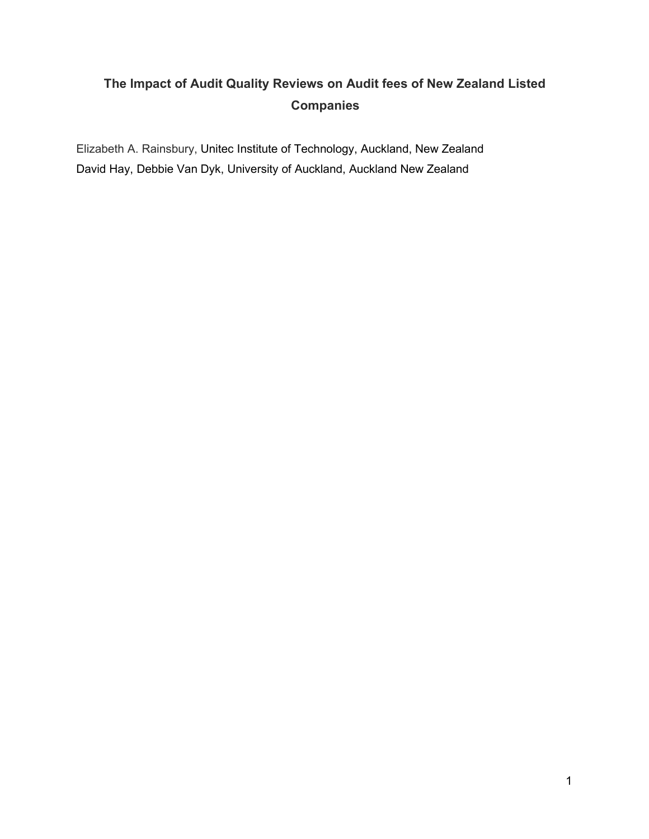# **The Impact of Audit Quality Reviews on Audit fees of New Zealand Listed Companies**

Elizabeth A. Rainsbury, Unitec Institute of Technology, Auckland, New Zealand David Hay, Debbie Van Dyk, University of Auckland, Auckland New Zealand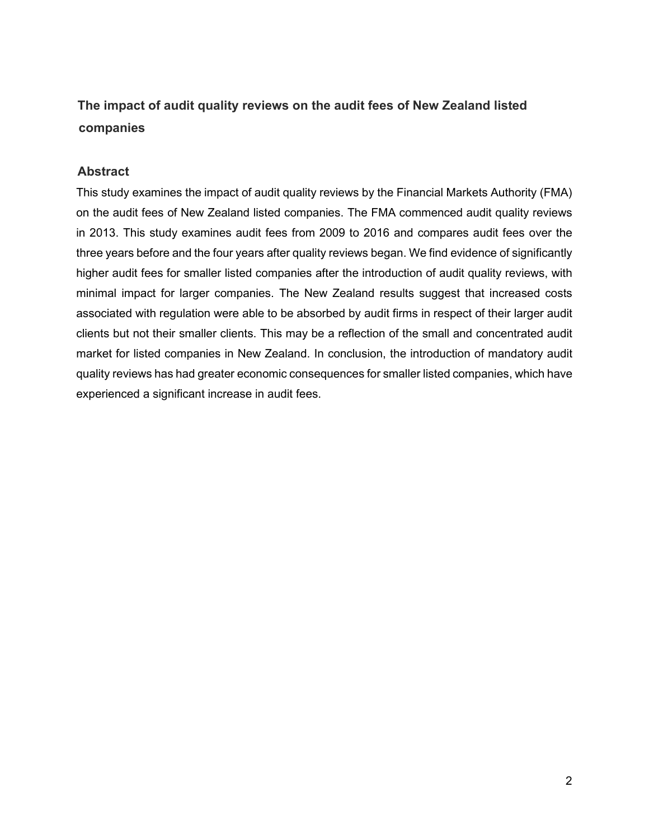# **The impact of audit quality reviews on the audit fees of New Zealand listed companies**

# **Abstract**

This study examines the impact of audit quality reviews by the Financial Markets Authority (FMA) on the audit fees of New Zealand listed companies. The FMA commenced audit quality reviews in 2013. This study examines audit fees from 2009 to 2016 and compares audit fees over the three years before and the four years after quality reviews began. We find evidence of significantly higher audit fees for smaller listed companies after the introduction of audit quality reviews, with minimal impact for larger companies. The New Zealand results suggest that increased costs associated with regulation were able to be absorbed by audit firms in respect of their larger audit clients but not their smaller clients. This may be a reflection of the small and concentrated audit market for listed companies in New Zealand. In conclusion, the introduction of mandatory audit quality reviews has had greater economic consequences for smaller listed companies, which have experienced a significant increase in audit fees.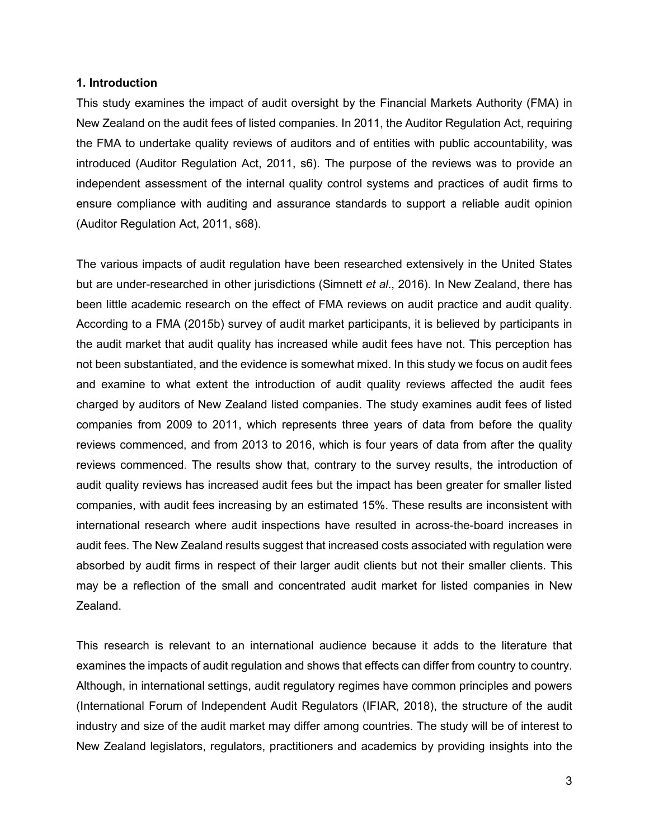#### **1. Introduction**

This study examines the impact of audit oversight by the Financial Markets Authority (FMA) in New Zealand on the audit fees of listed companies. In 2011, the Auditor Regulation Act, requiring the FMA to undertake quality reviews of auditors and of entities with public accountability, was introduced (Auditor Regulation Act, 2011, s6). The purpose of the reviews was to provide an independent assessment of the internal quality control systems and practices of audit firms to ensure compliance with auditing and assurance standards to support a reliable audit opinion (Auditor Regulation Act, 2011, s68).

The various impacts of audit regulation have been researched extensively in the United States but are under-researched in other jurisdictions (Simnett *et al*., 2016). In New Zealand, there has been little academic research on the effect of FMA reviews on audit practice and audit quality. According to a FMA (2015b) survey of audit market participants, it is believed by participants in the audit market that audit quality has increased while audit fees have not. This perception has not been substantiated, and the evidence is somewhat mixed. In this study we focus on audit fees and examine to what extent the introduction of audit quality reviews affected the audit fees charged by auditors of New Zealand listed companies. The study examines audit fees of listed companies from 2009 to 2011, which represents three years of data from before the quality reviews commenced, and from 2013 to 2016, which is four years of data from after the quality reviews commenced. The results show that, contrary to the survey results, the introduction of audit quality reviews has increased audit fees but the impact has been greater for smaller listed companies, with audit fees increasing by an estimated 15%. These results are inconsistent with international research where audit inspections have resulted in across-the-board increases in audit fees. The New Zealand results suggest that increased costs associated with regulation were absorbed by audit firms in respect of their larger audit clients but not their smaller clients. This may be a reflection of the small and concentrated audit market for listed companies in New Zealand.

This research is relevant to an international audience because it adds to the literature that examines the impacts of audit regulation and shows that effects can differ from country to country. Although, in international settings, audit regulatory regimes have common principles and powers (International Forum of Independent Audit Regulators (IFIAR, 2018), the structure of the audit industry and size of the audit market may differ among countries. The study will be of interest to New Zealand legislators, regulators, practitioners and academics by providing insights into the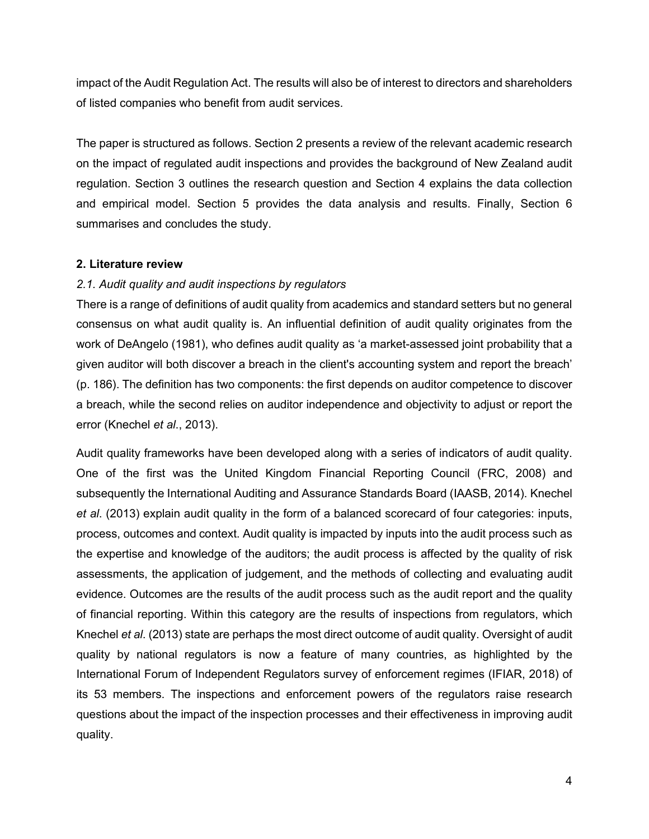impact of the Audit Regulation Act. The results will also be of interest to directors and shareholders of listed companies who benefit from audit services.

The paper is structured as follows. Section 2 presents a review of the relevant academic research on the impact of regulated audit inspections and provides the background of New Zealand audit regulation. Section 3 outlines the research question and Section 4 explains the data collection and empirical model. Section 5 provides the data analysis and results. Finally, Section 6 summarises and concludes the study.

#### **2. Literature review**

#### *2.1. Audit quality and audit inspections by regulators*

There is a range of definitions of audit quality from academics and standard setters but no general consensus on what audit quality is. An influential definition of audit quality originates from the work of DeAngelo (1981), who defines audit quality as 'a market-assessed joint probability that a given auditor will both discover a breach in the client's accounting system and report the breach' (p. 186). The definition has two components: the first depends on auditor competence to discover a breach, while the second relies on auditor independence and objectivity to adjust or report the error (Knechel *et al*., 2013).

Audit quality frameworks have been developed along with a series of indicators of audit quality. One of the first was the United Kingdom Financial Reporting Council (FRC, 2008) and subsequently the International Auditing and Assurance Standards Board (IAASB, 2014). Knechel *et al*. (2013) explain audit quality in the form of a balanced scorecard of four categories: inputs, process, outcomes and context. Audit quality is impacted by inputs into the audit process such as the expertise and knowledge of the auditors; the audit process is affected by the quality of risk assessments, the application of judgement, and the methods of collecting and evaluating audit evidence. Outcomes are the results of the audit process such as the audit report and the quality of financial reporting. Within this category are the results of inspections from regulators, which Knechel *et al*. (2013) state are perhaps the most direct outcome of audit quality. Oversight of audit quality by national regulators is now a feature of many countries, as highlighted by the International Forum of Independent Regulators survey of enforcement regimes (IFIAR, 2018) of its 53 members. The inspections and enforcement powers of the regulators raise research questions about the impact of the inspection processes and their effectiveness in improving audit quality.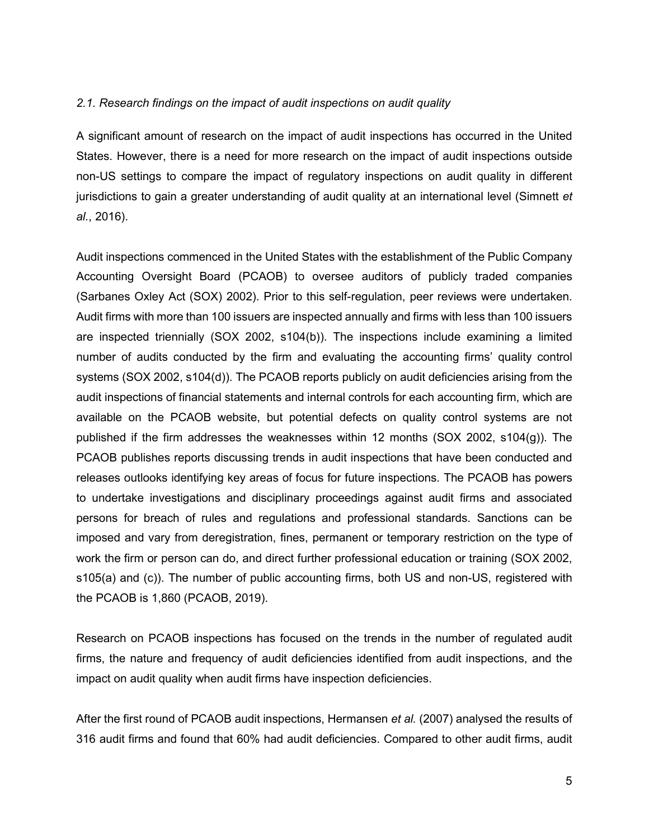#### *2.1. Research findings on the impact of audit inspections on audit quality*

A significant amount of research on the impact of audit inspections has occurred in the United States. However, there is a need for more research on the impact of audit inspections outside non-US settings to compare the impact of regulatory inspections on audit quality in different jurisdictions to gain a greater understanding of audit quality at an international level (Simnett *et al.*, 2016).

Audit inspections commenced in the United States with the establishment of the Public Company Accounting Oversight Board (PCAOB) to oversee auditors of publicly traded companies (Sarbanes Oxley Act (SOX) 2002). Prior to this self-regulation, peer reviews were undertaken. Audit firms with more than 100 issuers are inspected annually and firms with less than 100 issuers are inspected triennially (SOX 2002, s104(b)). The inspections include examining a limited number of audits conducted by the firm and evaluating the accounting firms' quality control systems (SOX 2002, s104(d)). The PCAOB reports publicly on audit deficiencies arising from the audit inspections of financial statements and internal controls for each accounting firm, which are available on the PCAOB website, but potential defects on quality control systems are not published if the firm addresses the weaknesses within 12 months (SOX 2002, s104(g)). The PCAOB publishes reports discussing trends in audit inspections that have been conducted and releases outlooks identifying key areas of focus for future inspections. The PCAOB has powers to undertake investigations and disciplinary proceedings against audit firms and associated persons for breach of rules and regulations and professional standards. Sanctions can be imposed and vary from deregistration, fines, permanent or temporary restriction on the type of work the firm or person can do, and direct further professional education or training (SOX 2002, s105(a) and (c)). The number of public accounting firms, both US and non-US, registered with the PCAOB is 1,860 (PCAOB, 2019).

Research on PCAOB inspections has focused on the trends in the number of regulated audit firms, the nature and frequency of audit deficiencies identified from audit inspections, and the impact on audit quality when audit firms have inspection deficiencies.

After the first round of PCAOB audit inspections, Hermansen *et al.* (2007) analysed the results of 316 audit firms and found that 60% had audit deficiencies. Compared to other audit firms, audit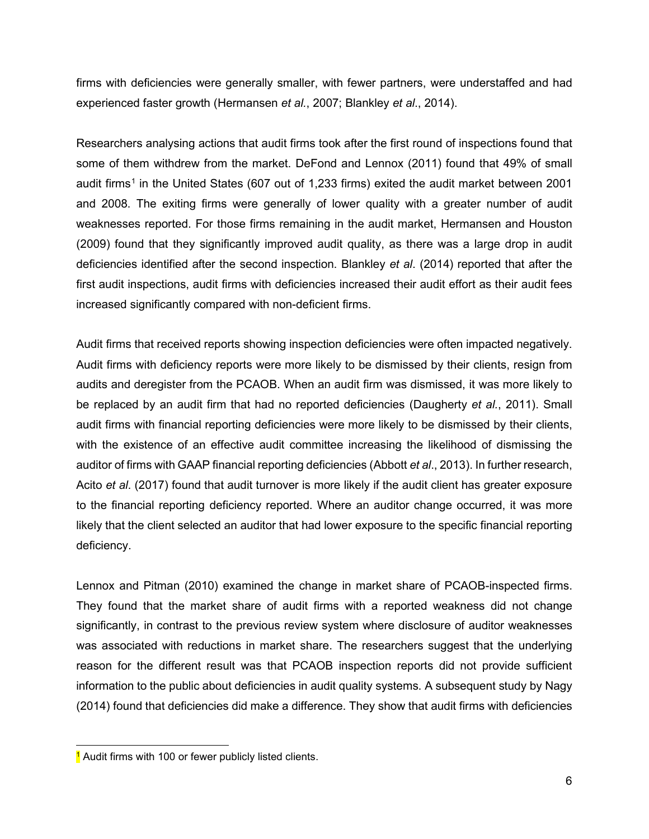firms with deficiencies were generally smaller, with fewer partners, were understaffed and had experienced faster growth (Hermansen *et al.*, 2007; Blankley *et al*., 2014).

Researchers analysing actions that audit firms took after the first round of inspections found that some of them withdrew from the market. DeFond and Lennox (2011) found that 49% of small audit firms<sup>[1](#page-5-0)</sup> in the United States (607 out of 1,233 firms) exited the audit market between 2001 and 2008. The exiting firms were generally of lower quality with a greater number of audit weaknesses reported. For those firms remaining in the audit market, Hermansen and Houston (2009) found that they significantly improved audit quality, as there was a large drop in audit deficiencies identified after the second inspection. Blankley *et al*. (2014) reported that after the first audit inspections, audit firms with deficiencies increased their audit effort as their audit fees increased significantly compared with non-deficient firms.

Audit firms that received reports showing inspection deficiencies were often impacted negatively. Audit firms with deficiency reports were more likely to be dismissed by their clients, resign from audits and deregister from the PCAOB. When an audit firm was dismissed, it was more likely to be replaced by an audit firm that had no reported deficiencies (Daugherty *et al.*, 2011). Small audit firms with financial reporting deficiencies were more likely to be dismissed by their clients, with the existence of an effective audit committee increasing the likelihood of dismissing the auditor of firms with GAAP financial reporting deficiencies (Abbott *et al*., 2013). In further research, Acito *et al*. (2017) found that audit turnover is more likely if the audit client has greater exposure to the financial reporting deficiency reported. Where an auditor change occurred, it was more likely that the client selected an auditor that had lower exposure to the specific financial reporting deficiency.

Lennox and Pitman (2010) examined the change in market share of PCAOB-inspected firms. They found that the market share of audit firms with a reported weakness did not change significantly, in contrast to the previous review system where disclosure of auditor weaknesses was associated with reductions in market share. The researchers suggest that the underlying reason for the different result was that PCAOB inspection reports did not provide sufficient information to the public about deficiencies in audit quality systems. A subsequent study by Nagy (2014) found that deficiencies did make a difference. They show that audit firms with deficiencies

<span id="page-5-0"></span><sup>&</sup>lt;sup>1</sup> Audit firms with 100 or fewer publicly listed clients.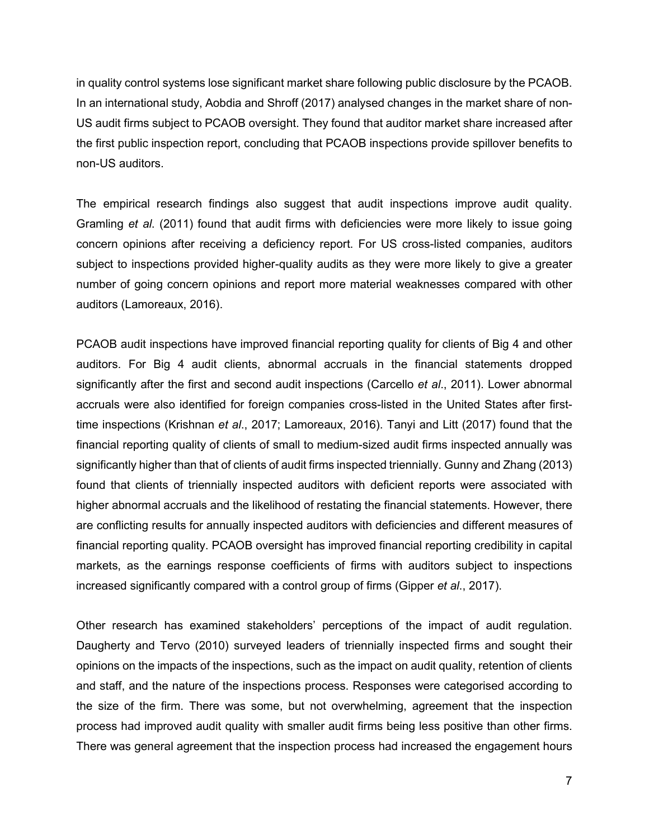in quality control systems lose significant market share following public disclosure by the PCAOB. In an international study, Aobdia and Shroff (2017) analysed changes in the market share of non-US audit firms subject to PCAOB oversight. They found that auditor market share increased after the first public inspection report, concluding that PCAOB inspections provide spillover benefits to non-US auditors.

The empirical research findings also suggest that audit inspections improve audit quality. Gramling *et al*. (2011) found that audit firms with deficiencies were more likely to issue going concern opinions after receiving a deficiency report. For US cross-listed companies, auditors subject to inspections provided higher-quality audits as they were more likely to give a greater number of going concern opinions and report more material weaknesses compared with other auditors (Lamoreaux, 2016).

PCAOB audit inspections have improved financial reporting quality for clients of Big 4 and other auditors. For Big 4 audit clients, abnormal accruals in the financial statements dropped significantly after the first and second audit inspections (Carcello *et al*., 2011). Lower abnormal accruals were also identified for foreign companies cross-listed in the United States after firsttime inspections (Krishnan *et al*., 2017; Lamoreaux, 2016). Tanyi and Litt (2017) found that the financial reporting quality of clients of small to medium-sized audit firms inspected annually was significantly higher than that of clients of audit firms inspected triennially. Gunny and Zhang (2013) found that clients of triennially inspected auditors with deficient reports were associated with higher abnormal accruals and the likelihood of restating the financial statements. However, there are conflicting results for annually inspected auditors with deficiencies and different measures of financial reporting quality. PCAOB oversight has improved financial reporting credibility in capital markets, as the earnings response coefficients of firms with auditors subject to inspections increased significantly compared with a control group of firms (Gipper *et al*., 2017).

Other research has examined stakeholders' perceptions of the impact of audit regulation. Daugherty and Tervo (2010) surveyed leaders of triennially inspected firms and sought their opinions on the impacts of the inspections, such as the impact on audit quality, retention of clients and staff, and the nature of the inspections process. Responses were categorised according to the size of the firm. There was some, but not overwhelming, agreement that the inspection process had improved audit quality with smaller audit firms being less positive than other firms. There was general agreement that the inspection process had increased the engagement hours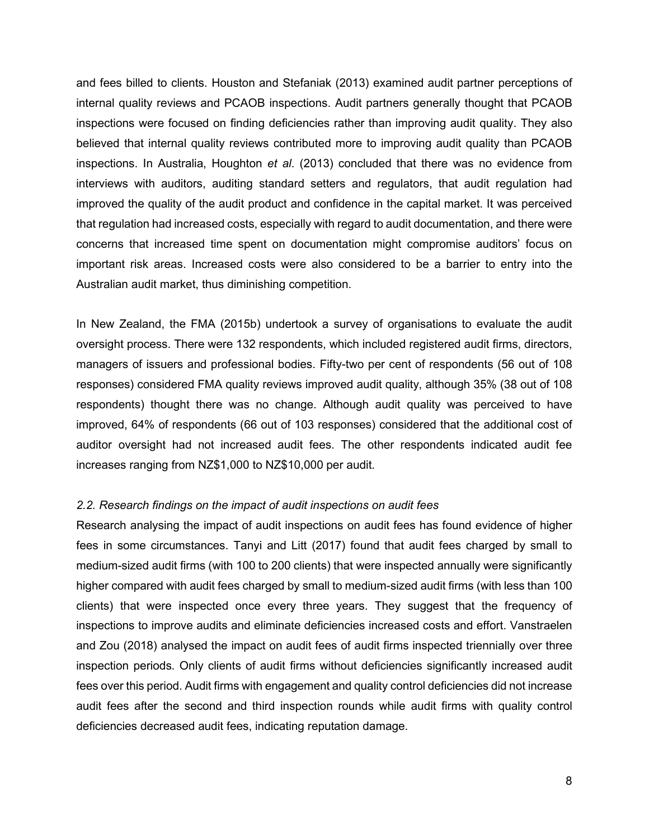and fees billed to clients. Houston and Stefaniak (2013) examined audit partner perceptions of internal quality reviews and PCAOB inspections. Audit partners generally thought that PCAOB inspections were focused on finding deficiencies rather than improving audit quality. They also believed that internal quality reviews contributed more to improving audit quality than PCAOB inspections. In Australia, Houghton *et al*. (2013) concluded that there was no evidence from interviews with auditors, auditing standard setters and regulators, that audit regulation had improved the quality of the audit product and confidence in the capital market. It was perceived that regulation had increased costs, especially with regard to audit documentation, and there were concerns that increased time spent on documentation might compromise auditors' focus on important risk areas. Increased costs were also considered to be a barrier to entry into the Australian audit market, thus diminishing competition.

In New Zealand, the FMA (2015b) undertook a survey of organisations to evaluate the audit oversight process. There were 132 respondents, which included registered audit firms, directors, managers of issuers and professional bodies. Fifty-two per cent of respondents (56 out of 108 responses) considered FMA quality reviews improved audit quality, although 35% (38 out of 108 respondents) thought there was no change. Although audit quality was perceived to have improved, 64% of respondents (66 out of 103 responses) considered that the additional cost of auditor oversight had not increased audit fees. The other respondents indicated audit fee increases ranging from NZ\$1,000 to NZ\$10,000 per audit.

### *2.2. Research findings on the impact of audit inspections on audit fees*

Research analysing the impact of audit inspections on audit fees has found evidence of higher fees in some circumstances. Tanyi and Litt (2017) found that audit fees charged by small to medium-sized audit firms (with 100 to 200 clients) that were inspected annually were significantly higher compared with audit fees charged by small to medium-sized audit firms (with less than 100 clients) that were inspected once every three years. They suggest that the frequency of inspections to improve audits and eliminate deficiencies increased costs and effort. Vanstraelen and Zou (2018) analysed the impact on audit fees of audit firms inspected triennially over three inspection periods. Only clients of audit firms without deficiencies significantly increased audit fees over this period. Audit firms with engagement and quality control deficiencies did not increase audit fees after the second and third inspection rounds while audit firms with quality control deficiencies decreased audit fees, indicating reputation damage.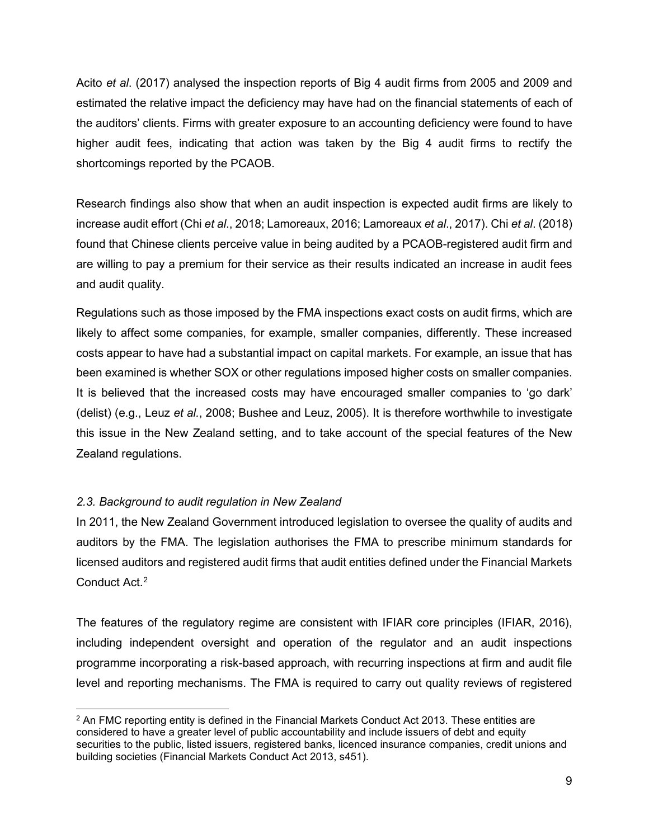Acito *et al*. (2017) analysed the inspection reports of Big 4 audit firms from 2005 and 2009 and estimated the relative impact the deficiency may have had on the financial statements of each of the auditors' clients. Firms with greater exposure to an accounting deficiency were found to have higher audit fees, indicating that action was taken by the Big 4 audit firms to rectify the shortcomings reported by the PCAOB.

Research findings also show that when an audit inspection is expected audit firms are likely to increase audit effort (Chi *et al*., 2018; Lamoreaux, 2016; Lamoreaux *et al*., 2017). Chi *et al*. (2018) found that Chinese clients perceive value in being audited by a PCAOB-registered audit firm and are willing to pay a premium for their service as their results indicated an increase in audit fees and audit quality.

Regulations such as those imposed by the FMA inspections exact costs on audit firms, which are likely to affect some companies, for example, smaller companies, differently. These increased costs appear to have had a substantial impact on capital markets. For example, an issue that has been examined is whether SOX or other regulations imposed higher costs on smaller companies. It is believed that the increased costs may have encouraged smaller companies to 'go dark' (delist) (e.g., Leuz *et al.*, 2008; Bushee and Leuz, 2005). It is therefore worthwhile to investigate this issue in the New Zealand setting, and to take account of the special features of the New Zealand regulations.

# *2.3. Background to audit regulation in New Zealand*

In 2011, the New Zealand Government introduced legislation to oversee the quality of audits and auditors by the FMA. The legislation authorises the FMA to prescribe minimum standards for licensed auditors and registered audit firms that audit entities defined under the Financial Markets Conduct Act.<sup>2</sup>

The features of the regulatory regime are consistent with IFIAR core principles (IFIAR, 2016), including independent oversight and operation of the regulator and an audit inspections programme incorporating a risk-based approach, with recurring inspections at firm and audit file level and reporting mechanisms. The FMA is required to carry out quality reviews of registered

<span id="page-8-0"></span> $2$  An FMC reporting entity is defined in the Financial Markets Conduct Act 2013. These entities are considered to have a greater level of public accountability and include issuers of debt and equity securities to the public, listed issuers, registered banks, licenced insurance companies, credit unions and building societies (Financial Markets Conduct Act 2013, s451).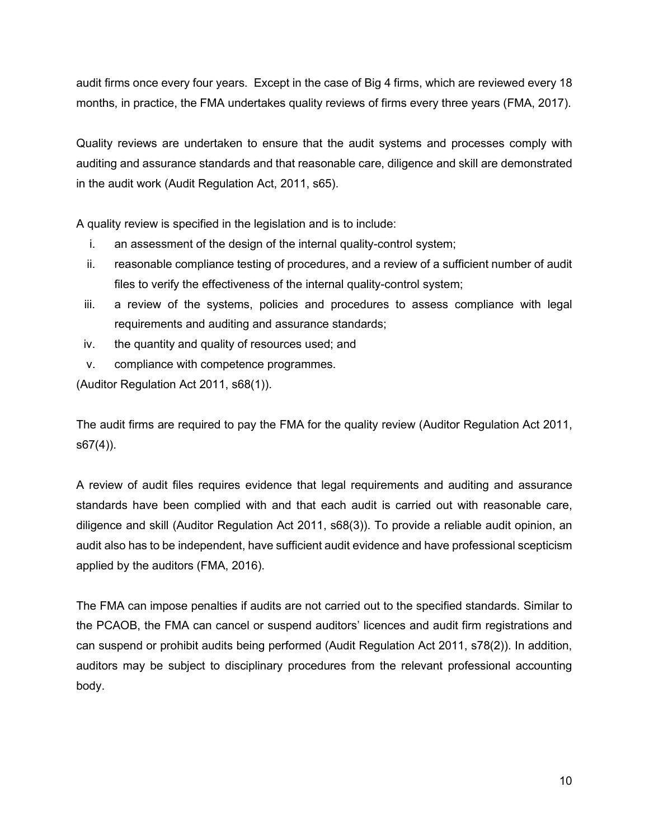audit firms once every four years. Except in the case of Big 4 firms, which are reviewed every 18 months, in practice, the FMA undertakes quality reviews of firms every three years (FMA, 2017).

Quality reviews are undertaken to ensure that the audit systems and processes comply with auditing and assurance standards and that reasonable care, diligence and skill are demonstrated in the audit work (Audit Regulation Act, 2011, s65).

A quality review is specified in the legislation and is to include:

- i. an assessment of the design of the internal quality-control system;
- ii. reasonable compliance testing of procedures, and a review of a sufficient number of audit files to verify the effectiveness of the internal quality-control system;
- iii. a review of the systems, policies and procedures to assess compliance with legal requirements and auditing and assurance standards;
- iv. the quantity and quality of resources used; and
- v. compliance with competence programmes.

(Auditor Regulation Act 2011, s68(1)).

The audit firms are required to pay the FMA for the quality review (Auditor Regulation Act 2011, s67(4)).

A review of audit files requires evidence that legal requirements and auditing and assurance standards have been complied with and that each audit is carried out with reasonable care, diligence and skill (Auditor Regulation Act 2011, s68(3)). To provide a reliable audit opinion, an audit also has to be independent, have sufficient audit evidence and have professional scepticism applied by the auditors (FMA, 2016).

The FMA can impose penalties if audits are not carried out to the specified standards. Similar to the PCAOB, the FMA can cancel or suspend auditors' licences and audit firm registrations and can suspend or prohibit audits being performed (Audit Regulation Act 2011, s78(2)). In addition, auditors may be subject to disciplinary procedures from the relevant professional accounting body.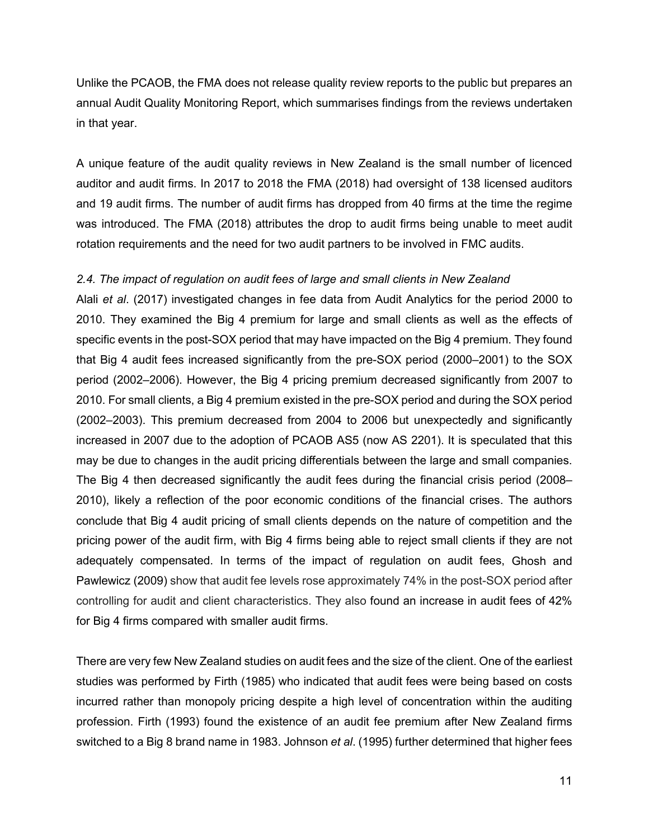Unlike the PCAOB, the FMA does not release quality review reports to the public but prepares an annual Audit Quality Monitoring Report, which summarises findings from the reviews undertaken in that year.

A unique feature of the audit quality reviews in New Zealand is the small number of licenced auditor and audit firms. In 2017 to 2018 the FMA (2018) had oversight of 138 licensed auditors and 19 audit firms. The number of audit firms has dropped from 40 firms at the time the regime was introduced. The FMA (2018) attributes the drop to audit firms being unable to meet audit rotation requirements and the need for two audit partners to be involved in FMC audits.

### *2.4. The impact of regulation on audit fees of large and small clients in New Zealand*

Alali *et al*. (2017) investigated changes in fee data from Audit Analytics for the period 2000 to 2010. They examined the Big 4 premium for large and small clients as well as the effects of specific events in the post-SOX period that may have impacted on the Big 4 premium. They found that Big 4 audit fees increased significantly from the pre-SOX period (2000–2001) to the SOX period (2002–2006). However, the Big 4 pricing premium decreased significantly from 2007 to 2010. For small clients, a Big 4 premium existed in the pre-SOX period and during the SOX period (2002–2003). This premium decreased from 2004 to 2006 but unexpectedly and significantly increased in 2007 due to the adoption of PCAOB AS5 (now AS 2201). It is speculated that this may be due to changes in the audit pricing differentials between the large and small companies. The Big 4 then decreased significantly the audit fees during the financial crisis period (2008– 2010), likely a reflection of the poor economic conditions of the financial crises. The authors conclude that Big 4 audit pricing of small clients depends on the nature of competition and the pricing power of the audit firm, with Big 4 firms being able to reject small clients if they are not adequately compensated. In terms of the impact of regulation on audit fees, Ghosh and Pawlewicz (2009) show that audit fee levels rose approximately 74% in the post-SOX period after controlling for audit and client characteristics. They also found an increase in audit fees of 42% for Big 4 firms compared with smaller audit firms.

There are very few New Zealand studies on audit fees and the size of the client. One of the earliest studies was performed by Firth (1985) who indicated that audit fees were being based on costs incurred rather than monopoly pricing despite a high level of concentration within the auditing profession. Firth (1993) found the existence of an audit fee premium after New Zealand firms switched to a Big 8 brand name in 1983. Johnson *et al*. (1995) further determined that higher fees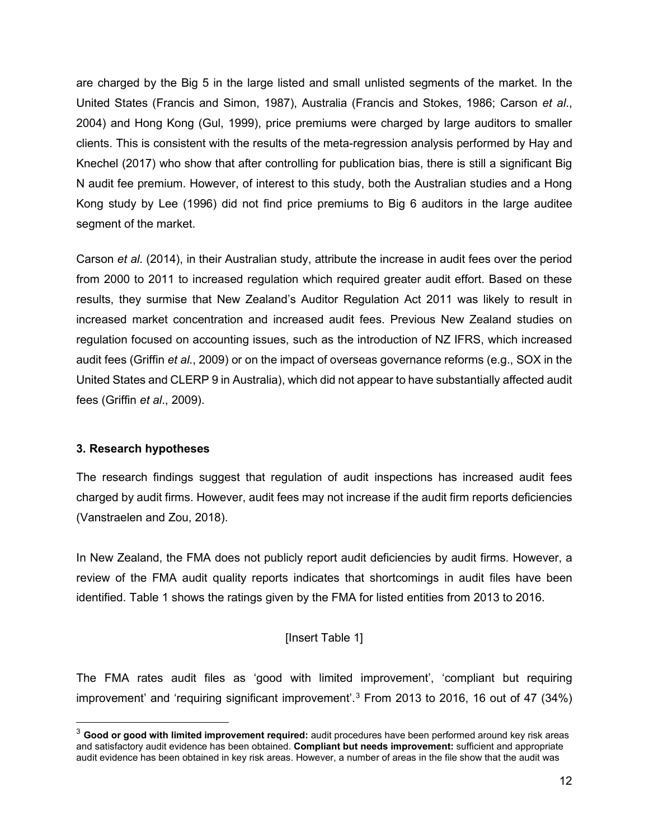are charged by the Big 5 in the large listed and small unlisted segments of the market. In the United States (Francis and Simon, 1987), Australia (Francis and Stokes, 1986; Carson *et al*., 2004) and Hong Kong (Gul, 1999), price premiums were charged by large auditors to smaller clients. This is consistent with the results of the meta-regression analysis performed by Hay and Knechel (2017) who show that after controlling for publication bias, there is still a significant Big N audit fee premium. However, of interest to this study, both the Australian studies and a Hong Kong study by Lee (1996) did not find price premiums to Big 6 auditors in the large auditee segment of the market.

Carson *et al*. (2014), in their Australian study, attribute the increase in audit fees over the period from 2000 to 2011 to increased regulation which required greater audit effort. Based on these results, they surmise that New Zealand's Auditor Regulation Act 2011 was likely to result in increased market concentration and increased audit fees. Previous New Zealand studies on regulation focused on accounting issues, such as the introduction of NZ IFRS, which increased audit fees (Griffin *et al*., 2009) or on the impact of overseas governance reforms (e.g., SOX in the United States and CLERP 9 in Australia), which did not appear to have substantially affected audit fees (Griffin *et al*., 2009).

### **3. Research hypotheses**

The research findings suggest that regulation of audit inspections has increased audit fees charged by audit firms. However, audit fees may not increase if the audit firm reports deficiencies (Vanstraelen and Zou, 2018).

In New Zealand, the FMA does not publicly report audit deficiencies by audit firms. However, a review of the FMA audit quality reports indicates that shortcomings in audit files have been identified. Table 1 shows the ratings given by the FMA for listed entities from 2013 to 2016.

### [Insert Table 1]

The FMA rates audit files as 'good with limited improvement', 'compliant but requiring improvement' and 'requiring significant improvement'.<sup>[3](#page-11-0)</sup> From 2013 to 2016, 16 out of 47 (34%)

<span id="page-11-0"></span><sup>3</sup> **Good or good with limited improvement required:** audit procedures have been performed around key risk areas and satisfactory audit evidence has been obtained. **Compliant but needs improvement:** sufficient and appropriate audit evidence has been obtained in key risk areas. However, a number of areas in the file show that the audit was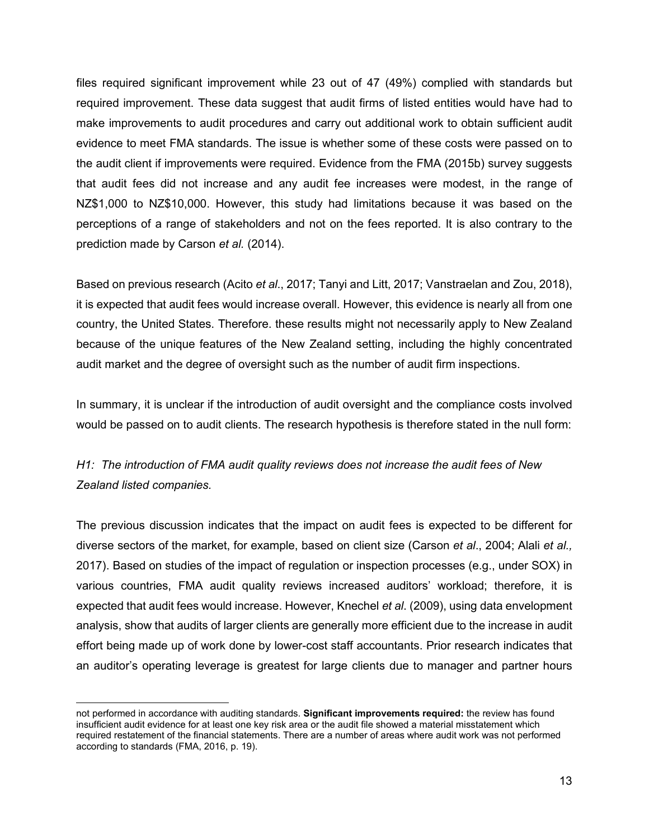files required significant improvement while 23 out of 47 (49%) complied with standards but required improvement. These data suggest that audit firms of listed entities would have had to make improvements to audit procedures and carry out additional work to obtain sufficient audit evidence to meet FMA standards. The issue is whether some of these costs were passed on to the audit client if improvements were required. Evidence from the FMA (2015b) survey suggests that audit fees did not increase and any audit fee increases were modest, in the range of NZ\$1,000 to NZ\$10,000. However, this study had limitations because it was based on the perceptions of a range of stakeholders and not on the fees reported. It is also contrary to the prediction made by Carson *et al.* (2014).

Based on previous research (Acito *et al*., 2017; Tanyi and Litt, 2017; Vanstraelan and Zou, 2018), it is expected that audit fees would increase overall. However, this evidence is nearly all from one country, the United States. Therefore. these results might not necessarily apply to New Zealand because of the unique features of the New Zealand setting, including the highly concentrated audit market and the degree of oversight such as the number of audit firm inspections.

In summary, it is unclear if the introduction of audit oversight and the compliance costs involved would be passed on to audit clients. The research hypothesis is therefore stated in the null form:

*H1: The introduction of FMA audit quality reviews does not increase the audit fees of New Zealand listed companies.* 

The previous discussion indicates that the impact on audit fees is expected to be different for diverse sectors of the market, for example, based on client size (Carson *et al*., 2004; Alali *et al.,* 2017). Based on studies of the impact of regulation or inspection processes (e.g., under SOX) in various countries, FMA audit quality reviews increased auditors' workload; therefore, it is expected that audit fees would increase. However, Knechel *et al*. (2009), using data envelopment analysis, show that audits of larger clients are generally more efficient due to the increase in audit effort being made up of work done by lower-cost staff accountants. Prior research indicates that an auditor's operating leverage is greatest for large clients due to manager and partner hours

not performed in accordance with auditing standards. **Significant improvements required:** the review has found insufficient audit evidence for at least one key risk area or the audit file showed a material misstatement which required restatement of the financial statements. There are a number of areas where audit work was not performed according to standards (FMA, 2016, p. 19).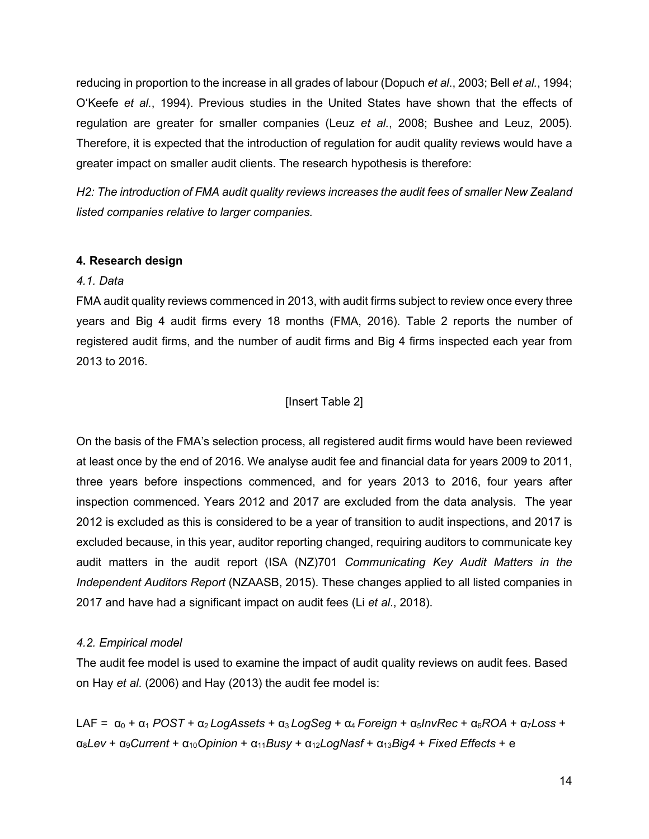reducing in proportion to the increase in all grades of labour (Dopuch *et al*., 2003; Bell *et al.*, 1994; O'Keefe *et al.*, 1994). Previous studies in the United States have shown that the effects of regulation are greater for smaller companies (Leuz *et al.*, 2008; Bushee and Leuz, 2005). Therefore, it is expected that the introduction of regulation for audit quality reviews would have a greater impact on smaller audit clients. The research hypothesis is therefore:

*H2: The introduction of FMA audit quality reviews increases the audit fees of smaller New Zealand listed companies relative to larger companies.* 

### **4. Research design**

### *4.1. Data*

FMA audit quality reviews commenced in 2013, with audit firms subject to review once every three years and Big 4 audit firms every 18 months (FMA, 2016). Table 2 reports the number of registered audit firms, and the number of audit firms and Big 4 firms inspected each year from 2013 to 2016.

### [Insert Table 2]

On the basis of the FMA's selection process, all registered audit firms would have been reviewed at least once by the end of 2016. We analyse audit fee and financial data for years 2009 to 2011, three years before inspections commenced, and for years 2013 to 2016, four years after inspection commenced. Years 2012 and 2017 are excluded from the data analysis. The year 2012 is excluded as this is considered to be a year of transition to audit inspections, and 2017 is excluded because, in this year, auditor reporting changed, requiring auditors to communicate key audit matters in the audit report (ISA (NZ)701 *Communicating Key Audit Matters in the Independent Auditors Report* (NZAASB, 2015). These changes applied to all listed companies in 2017 and have had a significant impact on audit fees (Li *et al*., 2018).

### *4.2. Empirical model*

The audit fee model is used to examine the impact of audit quality reviews on audit fees. Based on Hay *et al*. (2006) and Hay (2013) the audit fee model is:

LAF =  $\alpha_0 + \alpha_1 POST + \alpha_2 LogAssets + \alpha_3 LogSeq + \alpha_4 Foreign + \alpha_5 InvRec + \alpha_6 ROA + \alpha_7 Loss +$ α8*Lev* + α9*Current* + α10*Opinion* + α11*Busy* + α12*LogNasf* + α13*Big4* + *Fixed Effects* + e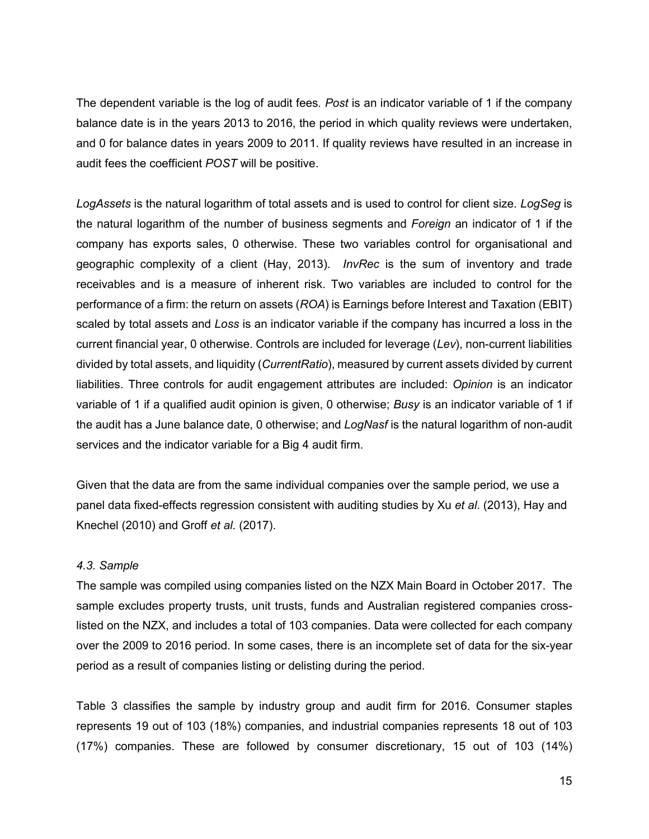The dependent variable is the log of audit fees*. Post* is an indicator variable of 1 if the company balance date is in the years 2013 to 2016, the period in which quality reviews were undertaken, and 0 for balance dates in years 2009 to 2011. If quality reviews have resulted in an increase in audit fees the coefficient *POST* will be positive.

*LogAssets* is the natural logarithm of total assets and is used to control for client size. *LogSeg* is the natural logarithm of the number of business segments and *Foreign* an indicator of 1 if the company has exports sales, 0 otherwise. These two variables control for organisational and geographic complexity of a client (Hay, 2013). *InvRec* is the sum of inventory and trade receivables and is a measure of inherent risk. Two variables are included to control for the performance of a firm: the return on assets (*ROA*) is Earnings before Interest and Taxation (EBIT) scaled by total assets and *Loss* is an indicator variable if the company has incurred a loss in the current financial year, 0 otherwise. Controls are included for leverage (*Lev*), non-current liabilities divided by total assets, and liquidity (*CurrentRatio*), measured by current assets divided by current liabilities. Three controls for audit engagement attributes are included: *Opinion* is an indicator variable of 1 if a qualified audit opinion is given, 0 otherwise; *Busy* is an indicator variable of 1 if the audit has a June balance date, 0 otherwise; and *LogNasf* is the natural logarithm of non-audit services and the indicator variable for a Big 4 audit firm.

Given that the data are from the same individual companies over the sample period, we use a panel data fixed-effects regression consistent with auditing studies by Xu *et al*. (2013), Hay and Knechel (2010) and Groff *et al.* (2017).

### *4.3. Sample*

The sample was compiled using companies listed on the NZX Main Board in October 2017. The sample excludes property trusts, unit trusts, funds and Australian registered companies crosslisted on the NZX, and includes a total of 103 companies. Data were collected for each company over the 2009 to 2016 period. In some cases, there is an incomplete set of data for the six-year period as a result of companies listing or delisting during the period.

Table 3 classifies the sample by industry group and audit firm for 2016. Consumer staples represents 19 out of 103 (18%) companies, and industrial companies represents 18 out of 103 (17%) companies. These are followed by consumer discretionary, 15 out of 103 (14%)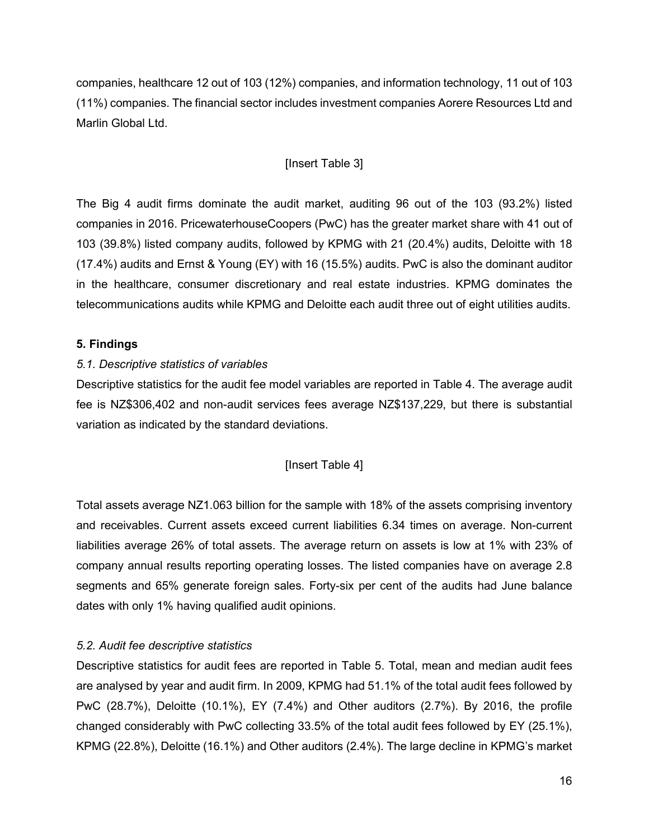companies, healthcare 12 out of 103 (12%) companies, and information technology, 11 out of 103 (11%) companies. The financial sector includes investment companies Aorere Resources Ltd and Marlin Global Ltd.

# [Insert Table 3]

The Big 4 audit firms dominate the audit market, auditing 96 out of the 103 (93.2%) listed companies in 2016. PricewaterhouseCoopers (PwC) has the greater market share with 41 out of 103 (39.8%) listed company audits, followed by KPMG with 21 (20.4%) audits, Deloitte with 18 (17.4%) audits and Ernst & Young (EY) with 16 (15.5%) audits. PwC is also the dominant auditor in the healthcare, consumer discretionary and real estate industries. KPMG dominates the telecommunications audits while KPMG and Deloitte each audit three out of eight utilities audits.

## **5. Findings**

## *5.1. Descriptive statistics of variables*

Descriptive statistics for the audit fee model variables are reported in Table 4. The average audit fee is NZ\$306,402 and non-audit services fees average NZ\$137,229, but there is substantial variation as indicated by the standard deviations.

### [Insert Table 4]

Total assets average NZ1.063 billion for the sample with 18% of the assets comprising inventory and receivables. Current assets exceed current liabilities 6.34 times on average. Non-current liabilities average 26% of total assets. The average return on assets is low at 1% with 23% of company annual results reporting operating losses. The listed companies have on average 2.8 segments and 65% generate foreign sales. Forty-six per cent of the audits had June balance dates with only 1% having qualified audit opinions.

### *5.2. Audit fee descriptive statistics*

Descriptive statistics for audit fees are reported in Table 5. Total, mean and median audit fees are analysed by year and audit firm. In 2009, KPMG had 51.1% of the total audit fees followed by PwC (28.7%), Deloitte (10.1%), EY (7.4%) and Other auditors (2.7%). By 2016, the profile changed considerably with PwC collecting 33.5% of the total audit fees followed by EY (25.1%), KPMG (22.8%), Deloitte (16.1%) and Other auditors (2.4%). The large decline in KPMG's market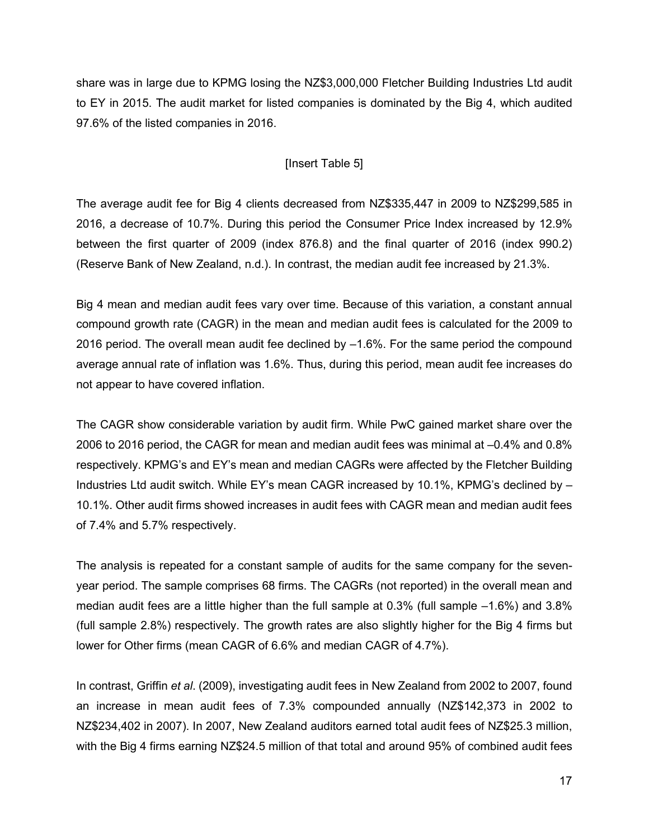share was in large due to KPMG losing the NZ\$3,000,000 Fletcher Building Industries Ltd audit to EY in 2015. The audit market for listed companies is dominated by the Big 4, which audited 97.6% of the listed companies in 2016.

## [Insert Table 5]

The average audit fee for Big 4 clients decreased from NZ\$335,447 in 2009 to NZ\$299,585 in 2016, a decrease of 10.7%. During this period the Consumer Price Index increased by 12.9% between the first quarter of 2009 (index 876.8) and the final quarter of 2016 (index 990.2) (Reserve Bank of New Zealand, n.d.). In contrast, the median audit fee increased by 21.3%.

Big 4 mean and median audit fees vary over time. Because of this variation, a constant annual compound growth rate (CAGR) in the mean and median audit fees is calculated for the 2009 to 2016 period. The overall mean audit fee declined by –1.6%. For the same period the compound average annual rate of inflation was 1.6%. Thus, during this period, mean audit fee increases do not appear to have covered inflation.

The CAGR show considerable variation by audit firm. While PwC gained market share over the 2006 to 2016 period, the CAGR for mean and median audit fees was minimal at –0.4% and 0.8% respectively. KPMG's and EY's mean and median CAGRs were affected by the Fletcher Building Industries Ltd audit switch. While EY's mean CAGR increased by 10.1%, KPMG's declined by – 10.1%. Other audit firms showed increases in audit fees with CAGR mean and median audit fees of 7.4% and 5.7% respectively.

The analysis is repeated for a constant sample of audits for the same company for the sevenyear period. The sample comprises 68 firms. The CAGRs (not reported) in the overall mean and median audit fees are a little higher than the full sample at 0.3% (full sample –1.6%) and 3.8% (full sample 2.8%) respectively. The growth rates are also slightly higher for the Big 4 firms but lower for Other firms (mean CAGR of 6.6% and median CAGR of 4.7%).

In contrast, Griffin *et al*. (2009), investigating audit fees in New Zealand from 2002 to 2007, found an increase in mean audit fees of 7.3% compounded annually (NZ\$142,373 in 2002 to NZ\$234,402 in 2007). In 2007, New Zealand auditors earned total audit fees of NZ\$25.3 million, with the Big 4 firms earning NZ\$24.5 million of that total and around 95% of combined audit fees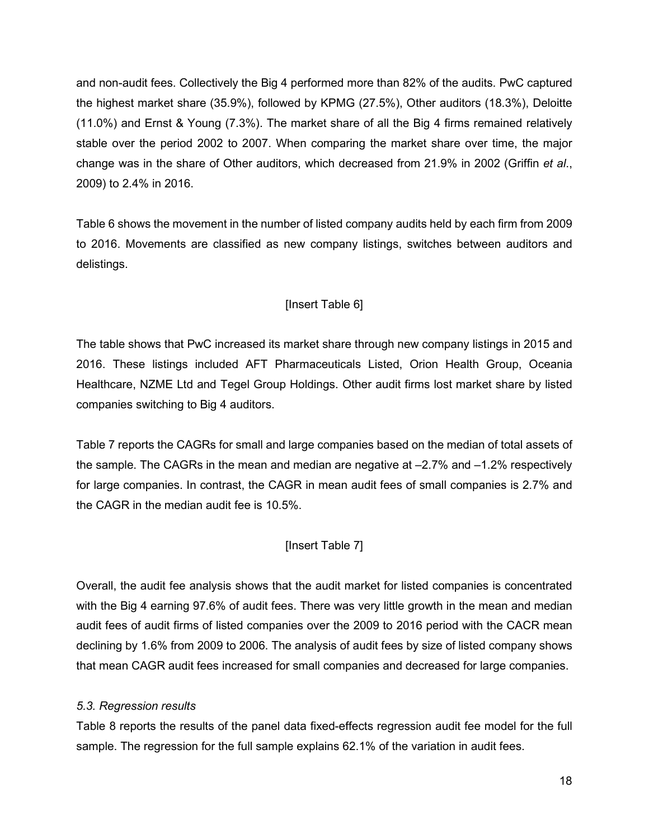and non-audit fees. Collectively the Big 4 performed more than 82% of the audits. PwC captured the highest market share (35.9%), followed by KPMG (27.5%), Other auditors (18.3%), Deloitte (11.0%) and Ernst & Young (7.3%). The market share of all the Big 4 firms remained relatively stable over the period 2002 to 2007. When comparing the market share over time, the major change was in the share of Other auditors, which decreased from 21.9% in 2002 (Griffin *et al*., 2009) to 2.4% in 2016.

Table 6 shows the movement in the number of listed company audits held by each firm from 2009 to 2016. Movements are classified as new company listings, switches between auditors and delistings.

# [Insert Table 6]

The table shows that PwC increased its market share through new company listings in 2015 and 2016. These listings included AFT Pharmaceuticals Listed, Orion Health Group, Oceania Healthcare, NZME Ltd and Tegel Group Holdings. Other audit firms lost market share by listed companies switching to Big 4 auditors.

Table 7 reports the CAGRs for small and large companies based on the median of total assets of the sample. The CAGRs in the mean and median are negative at –2.7% and –1.2% respectively for large companies. In contrast, the CAGR in mean audit fees of small companies is 2.7% and the CAGR in the median audit fee is 10.5%.

# [Insert Table 7]

Overall, the audit fee analysis shows that the audit market for listed companies is concentrated with the Big 4 earning 97.6% of audit fees. There was very little growth in the mean and median audit fees of audit firms of listed companies over the 2009 to 2016 period with the CACR mean declining by 1.6% from 2009 to 2006. The analysis of audit fees by size of listed company shows that mean CAGR audit fees increased for small companies and decreased for large companies.

# *5.3. Regression results*

Table 8 reports the results of the panel data fixed-effects regression audit fee model for the full sample. The regression for the full sample explains 62.1% of the variation in audit fees.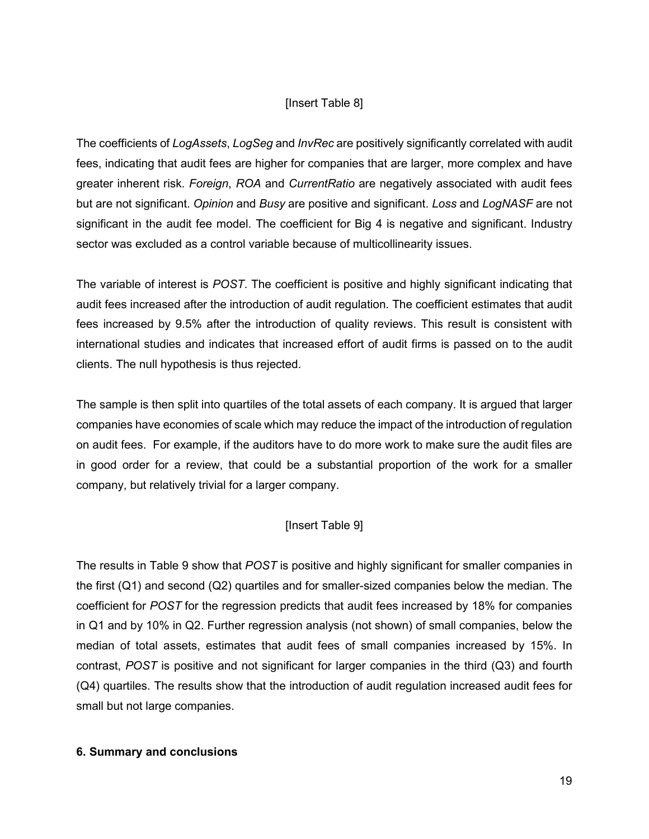### [Insert Table 8]

The coefficients of *LogAssets*, *LogSeg* and *InvRec* are positively significantly correlated with audit fees, indicating that audit fees are higher for companies that are larger, more complex and have greater inherent risk. *Foreign*, *ROA* and *CurrentRatio* are negatively associated with audit fees but are not significant. *Opinion* and *Busy* are positive and significant. *Loss* and *LogNASF* are not significant in the audit fee model. The coefficient for Big 4 is negative and significant. Industry sector was excluded as a control variable because of multicollinearity issues.

The variable of interest is *POST*. The coefficient is positive and highly significant indicating that audit fees increased after the introduction of audit regulation. The coefficient estimates that audit fees increased by 9.5% after the introduction of quality reviews. This result is consistent with international studies and indicates that increased effort of audit firms is passed on to the audit clients. The null hypothesis is thus rejected.

The sample is then split into quartiles of the total assets of each company. It is argued that larger companies have economies of scale which may reduce the impact of the introduction of regulation on audit fees. For example, if the auditors have to do more work to make sure the audit files are in good order for a review, that could be a substantial proportion of the work for a smaller company, but relatively trivial for a larger company.

# [Insert Table 9]

The results in Table 9 show that *POST* is positive and highly significant for smaller companies in the first (Q1) and second (Q2) quartiles and for smaller-sized companies below the median. The coefficient for *POST* for the regression predicts that audit fees increased by 18% for companies in Q1 and by 10% in Q2. Further regression analysis (not shown) of small companies, below the median of total assets, estimates that audit fees of small companies increased by 15%. In contrast, *POST* is positive and not significant for larger companies in the third (Q3) and fourth (Q4) quartiles. The results show that the introduction of audit regulation increased audit fees for small but not large companies.

### **6. Summary and conclusions**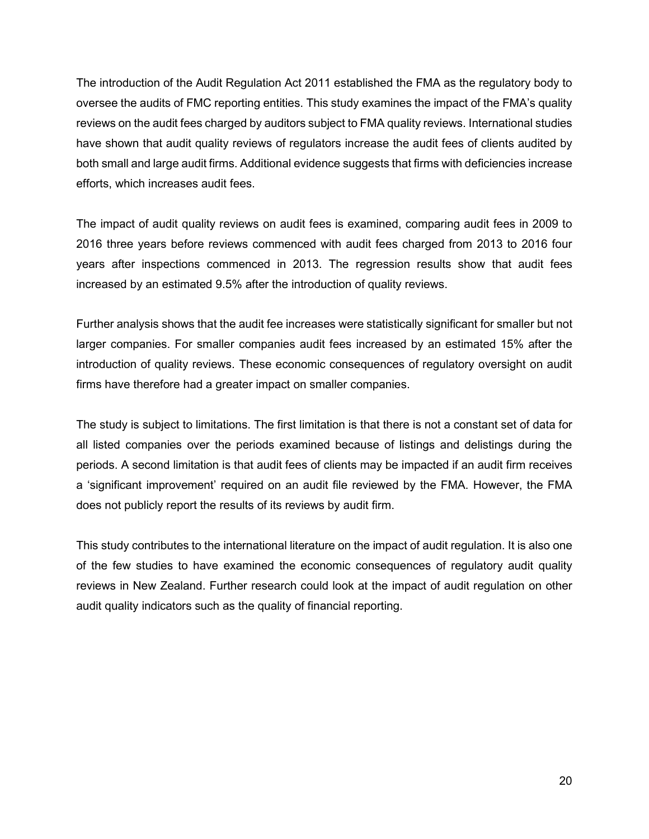The introduction of the Audit Regulation Act 2011 established the FMA as the regulatory body to oversee the audits of FMC reporting entities. This study examines the impact of the FMA's quality reviews on the audit fees charged by auditors subject to FMA quality reviews. International studies have shown that audit quality reviews of regulators increase the audit fees of clients audited by both small and large audit firms. Additional evidence suggests that firms with deficiencies increase efforts, which increases audit fees.

The impact of audit quality reviews on audit fees is examined, comparing audit fees in 2009 to 2016 three years before reviews commenced with audit fees charged from 2013 to 2016 four years after inspections commenced in 2013. The regression results show that audit fees increased by an estimated 9.5% after the introduction of quality reviews.

Further analysis shows that the audit fee increases were statistically significant for smaller but not larger companies. For smaller companies audit fees increased by an estimated 15% after the introduction of quality reviews. These economic consequences of regulatory oversight on audit firms have therefore had a greater impact on smaller companies.

The study is subject to limitations. The first limitation is that there is not a constant set of data for all listed companies over the periods examined because of listings and delistings during the periods. A second limitation is that audit fees of clients may be impacted if an audit firm receives a 'significant improvement' required on an audit file reviewed by the FMA. However, the FMA does not publicly report the results of its reviews by audit firm.

This study contributes to the international literature on the impact of audit regulation. It is also one of the few studies to have examined the economic consequences of regulatory audit quality reviews in New Zealand. Further research could look at the impact of audit regulation on other audit quality indicators such as the quality of financial reporting.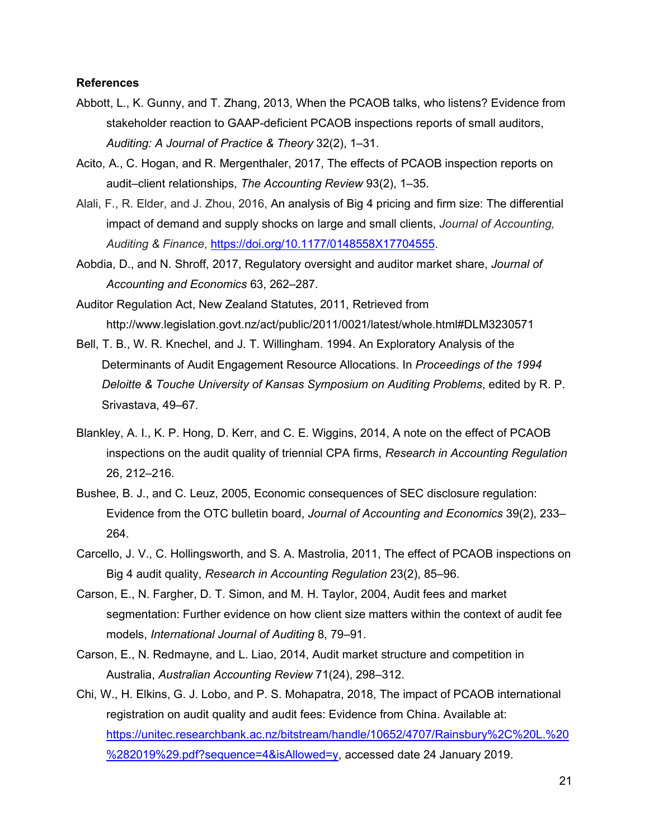#### **References**

- Abbott, L., K. Gunny, and T. Zhang, 2013, When the PCAOB talks, who listens? Evidence from stakeholder reaction to GAAP-deficient PCAOB inspections reports of small auditors, *Auditing: A Journal of Practice & Theory* 32(2), 1–31.
- Acito, A., C. Hogan, and R. Mergenthaler, 2017, The effects of PCAOB inspection reports on audit–client relationships, *The Accounting Review* 93(2), 1–35.
- Alali, F., R. Elder, and J. Zhou, 2016, An analysis of Big 4 pricing and firm size: The differential impact of demand and supply shocks on large and small clients, *Journal of Accounting, Auditing & Finance*, [https://doi.org/10.1177/0148558X17704555.](https://doi.org/10.1177%2F0148558X17704555)
- Aobdia, D., and N. Shroff, 2017, Regulatory oversight and auditor market share, *Journal of Accounting and Economics* 63, 262–287.
- Auditor Regulation Act, New Zealand Statutes, 2011, Retrieved from http://www.legislation.govt.nz/act/public/2011/0021/latest/whole.html#DLM3230571
- Bell, T. B., W. R. Knechel, and J. T. Willingham. 1994. An Exploratory Analysis of the Determinants of Audit Engagement Resource Allocations. In *Proceedings of the 1994 Deloitte & Touche University of Kansas Symposium on Auditing Problems*, edited by R. P. Srivastava, 49–67.
- Blankley, A. I., K. P. Hong, D. Kerr, and C. E. Wiggins, 2014, A note on the effect of PCAOB inspections on the audit quality of triennial CPA firms, *Research in Accounting Regulation* 26, 212–216.
- Bushee, B. J., and C. Leuz, 2005, Economic consequences of SEC disclosure regulation: Evidence from the OTC bulletin board, *Journal of Accounting and Economics* 39(2), 233– 264.
- Carcello, J. V., C. Hollingsworth, and S. A. Mastrolia, 2011, The effect of PCAOB inspections on Big 4 audit quality, *Research in Accounting Regulation* 23(2), 85–96.
- Carson, E., N. Fargher, D. T. Simon, and M. H. Taylor, 2004, Audit fees and market segmentation: Further evidence on how client size matters within the context of audit fee models, *International Journal of Auditing* 8, 79–91.
- Carson, E., N. Redmayne, and L. Liao, 2014, Audit market structure and competition in Australia, *Australian Accounting Review* 71(24), 298–312.
- Chi, W., H. Elkins, G. J. Lobo, and P. S. Mohapatra, 2018, The impact of PCAOB international registration on audit quality and audit fees: Evidence from China. Available at: [https://unitec.researchbank.ac.nz/bitstream/handle/10652/4707/Rainsbury%2C%20L.%20](https://unitec.researchbank.ac.nz/bitstream/handle/10652/4707/Rainsbury%2C%20L.%20%282019%29.pdf?sequence=4&isAllowed=y) [%282019%29.pdf?sequence=4&isAllowed=y,](https://unitec.researchbank.ac.nz/bitstream/handle/10652/4707/Rainsbury%2C%20L.%20%282019%29.pdf?sequence=4&isAllowed=y) accessed date 24 January 2019.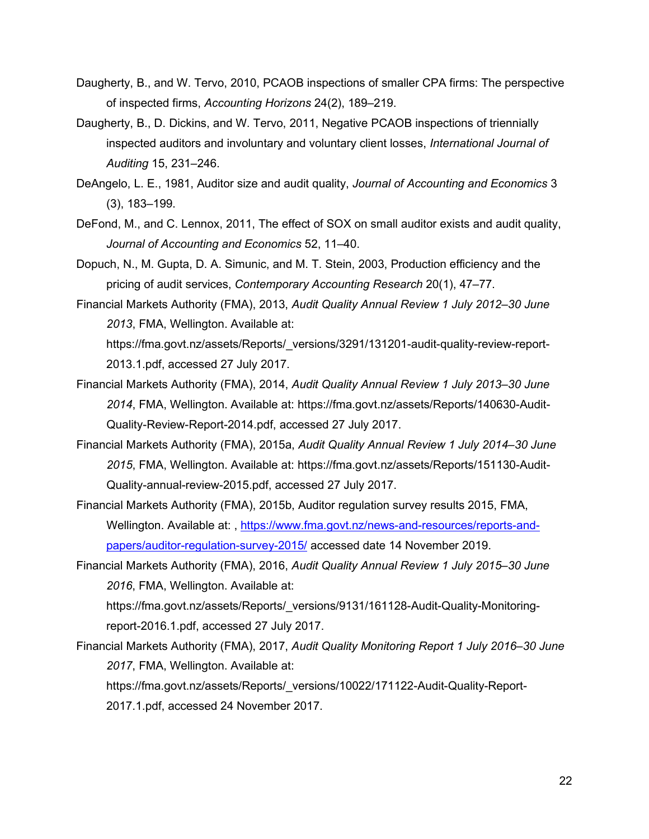- Daugherty, B., and W. Tervo, 2010, PCAOB inspections of smaller CPA firms: The perspective of inspected firms, *Accounting Horizons* 24(2), 189–219.
- Daugherty, B., D. Dickins, and W. Tervo, 2011, Negative PCAOB inspections of triennially inspected auditors and involuntary and voluntary client losses, *International Journal of Auditing* 15, 231–246.
- DeAngelo, L. E., 1981, Auditor size and audit quality, *Journal of Accounting and Economics* 3 (3), 183–199.
- DeFond, M., and C. Lennox, 2011, The effect of SOX on small auditor exists and audit quality, *Journal of Accounting and Economics* 52, 11–40.
- Dopuch, N., M. Gupta, D. A. Simunic, and M. T. Stein, 2003, Production efficiency and the pricing of audit services, *Contemporary Accounting Research* 20(1), 47–77.
- Financial Markets Authority (FMA), 2013, *Audit Quality Annual Review 1 July 2012–30 June 2013*, FMA, Wellington. Available at[:](https://fma.govt.nz/assets/Reports/_versions/3291/131201-audit-quality-review-report-2013.1.pdf) [https://fma.govt.nz/assets/Reports/\\_versions/3291/131201-audit-quality-review-report-](https://fma.govt.nz/assets/Reports/_versions/3291/131201-audit-quality-review-report-2013.1.pdf)[2013.1.pdf,](https://fma.govt.nz/assets/Reports/_versions/3291/131201-audit-quality-review-report-2013.1.pdf) accessed 27 July 2017.
- Financial Markets Authority (FMA), 2014, *Audit Quality Annual Review 1 July 2013–30 June 2014*, FMA, Wellington. Available at[:](https://fma.govt.nz/assets/Reports/140630-Audit-Quality-Review-Report-2014.pdf) [https://fma.govt.nz/assets/Reports/140630-Audit-](https://fma.govt.nz/assets/Reports/140630-Audit-Quality-Review-Report-2014.pdf)[Quality-Review-Report-2014.pdf,](https://fma.govt.nz/assets/Reports/140630-Audit-Quality-Review-Report-2014.pdf) accessed 27 July 2017.
- Financial Markets Authority (FMA), 2015a, *Audit Quality Annual Review 1 July 2014–30 June 2015*, FMA, Wellington. Available at[:](https://fma.govt.nz/assets/Reports/151130-Audit-Quality-annual-review-2015.pdf) [https://fma.govt.nz/assets/Reports/151130-Audit-](https://fma.govt.nz/assets/Reports/151130-Audit-Quality-annual-review-2015.pdf)[Quality-annual-review-2015.pdf,](https://fma.govt.nz/assets/Reports/151130-Audit-Quality-annual-review-2015.pdf) accessed 27 July 2017.
- Financial Markets Authority (FMA), 2015b, Auditor regulation survey results 2015, FMA, Wellington. Available at[:](https://fma.govt.nz/compliance/role/auditors/) , [https://www.fma.govt.nz/news-and-resources/reports-and](https://www.fma.govt.nz/news-and-resources/reports-and-papers/auditor-regulation-survey-2015/)[papers/auditor-regulation-survey-2015/](https://www.fma.govt.nz/news-and-resources/reports-and-papers/auditor-regulation-survey-2015/) accessed date 14 November 2019.
- Financial Markets Authority (FMA), 2016, *Audit Quality Annual Review 1 July 2015–30 June 2016*, FMA, Wellington. Available at[:](https://fma.govt.nz/assets/Reports/_versions/9131/161128-Audit-Quality-Monitoring-report-2016.1.pdf)

[https://fma.govt.nz/assets/Reports/\\_versions/9131/161128-Audit-Quality-Monitoring](https://fma.govt.nz/assets/Reports/_versions/9131/161128-Audit-Quality-Monitoring-report-2016.1.pdf)[report-2016.1.pdf,](https://fma.govt.nz/assets/Reports/_versions/9131/161128-Audit-Quality-Monitoring-report-2016.1.pdf) accessed 27 July 2017.

Financial Markets Authority (FMA), 2017, *Audit Quality Monitoring Report 1 July 2016–30 June 2017*, FMA, Wellington. Available at[:](https://fma.govt.nz/assets/Reports/_versions/10022/171122-Audit-Quality-Report-2017.1.pdf)

[https://fma.govt.nz/assets/Reports/\\_versions/10022/171122-Audit-Quality-Report-](https://fma.govt.nz/assets/Reports/_versions/10022/171122-Audit-Quality-Report-2017.1.pdf)[2017.1.pdf,](https://fma.govt.nz/assets/Reports/_versions/10022/171122-Audit-Quality-Report-2017.1.pdf) accessed 24 November 2017.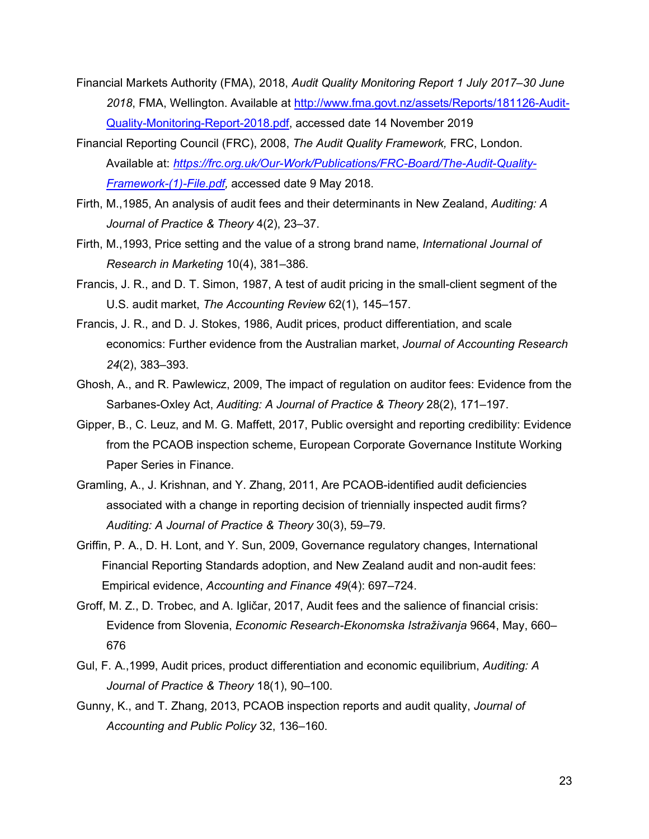- Financial Markets Authority (FMA), 2018, *Audit Quality Monitoring Report 1 July 2017–30 June 2018*, FMA, Wellington. Available at [http://www.fma.govt.nz/assets/Reports/181126-Audit-](http://www.fma.govt.nz/assets/Reports/181126-Audit-Quality-Monitoring-Report-2018.pdf)[Quality-Monitoring-Report-2018.pdf,](http://www.fma.govt.nz/assets/Reports/181126-Audit-Quality-Monitoring-Report-2018.pdf) accessed date 14 November 2019
- Financial Reporting Council (FRC), 2008, *The Audit Quality Framework,* FRC, London. Available at: *[https://frc.org.uk/Our-Work/Publications/FRC-Board/The-Audit-Quality-](https://frc.org.uk/Our-Work/Publications/FRC-Board/The-Audit-Quality-Framework-(1)-File.pdf)[Framework-\(1\)-File.pdf,](https://frc.org.uk/Our-Work/Publications/FRC-Board/The-Audit-Quality-Framework-(1)-File.pdf)* accessed date 9 May 2018.
- Firth, M.,1985, An analysis of audit fees and their determinants in New Zealand, *Auditing: A Journal of Practice & Theory* 4(2), 23–37.
- Firth, M.,1993, Price setting and the value of a strong brand name, *International Journal of Research in Marketing* 10(4), 381–386.
- Francis, J. R., and D. T. Simon, 1987, A test of audit pricing in the small-client segment of the U.S. audit market, *The Accounting Review* 62(1), 145–157.
- Francis, J. R., and D. J. Stokes, 1986, Audit prices, product differentiation, and scale economics: Further evidence from the Australian market, *Journal of Accounting Research 24*(2), 383–393.
- Ghosh, A., and R. Pawlewicz, 2009, The impact of regulation on auditor fees: Evidence from the Sarbanes-Oxley Act, *Auditing: A Journal of Practice & Theory* 28(2), 171–197.
- Gipper, B., C. Leuz, and M. G. Maffett, 2017, Public oversight and reporting credibility: Evidence from the PCAOB inspection scheme, European Corporate Governance Institute Working Paper Series in Finance.
- Gramling, A., J. Krishnan, and Y. Zhang, 2011, Are PCAOB-identified audit deficiencies associated with a change in reporting decision of triennially inspected audit firms? *Auditing: A Journal of Practice & Theory* 30(3), 59–79.
- Griffin, P. A., D. H. Lont, and Y. Sun, 2009, Governance regulatory changes, International Financial Reporting Standards adoption, and New Zealand audit and non-audit fees: Empirical evidence, *Accounting and Finance 49*(4): 697–724.
- Groff, M. Z., D. Trobec, and A. Igličar, 2017, Audit fees and the salience of financial crisis: Evidence from Slovenia, *Economic Research-Ekonomska Istraživanja* 9664, May, 660– 676
- Gul, F. A.,1999, Audit prices, product differentiation and economic equilibrium, *Auditing: A Journal of Practice & Theory* 18(1), 90–100.
- Gunny, K., and T. Zhang, 2013, PCAOB inspection reports and audit quality, *Journal of Accounting and Public Policy* 32, 136–160.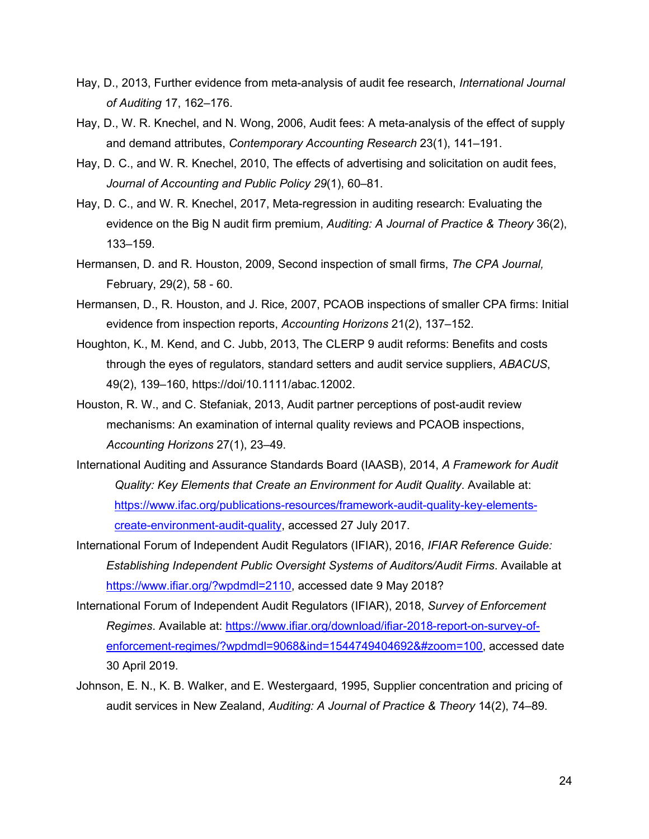- Hay, D., 2013, Further evidence from meta-analysis of audit fee research, *International Journal of Auditing* 17, 162–176.
- Hay, D., W. R. Knechel, and N. Wong, 2006, Audit fees: A meta-analysis of the effect of supply and demand attributes, *Contemporary Accounting Research* 23(1), 141–191.
- Hay, D. C., and W. R. Knechel, 2010, The effects of advertising and solicitation on audit fees, *Journal of Accounting and Public Policy 29*(1), 60–81.
- Hay, D. C., and W. R. Knechel, 2017, Meta-regression in auditing research: Evaluating the evidence on the Big N audit firm premium, *Auditing: A Journal of Practice & Theory* 36(2), 133–159.
- Hermansen, D. and R. Houston, 2009, Second inspection of small firms, *The CPA Journal,*  February, 29(2), 58 - 60.
- Hermansen, D., R. Houston, and J. Rice, 2007, PCAOB inspections of smaller CPA firms: Initial evidence from inspection reports, *Accounting Horizons* 21(2), 137–152.
- Houghton, K., M. Kend, and C. Jubb, 2013, The CLERP 9 audit reforms: Benefits and costs through the eyes of regulators, standard setters and audit service suppliers, *ABACUS*, 49(2), 139–160[,](https://doi/10.1111/abac.12002) [https://doi/10.1111/abac.12002.](https://doi/10.1111/abac.12002)
- Houston, R. W., and C. Stefaniak, 2013, Audit partner perceptions of post-audit review mechanisms: An examination of internal quality reviews and PCAOB inspections, *Accounting Horizons* 27(1), 23–49.
- International Auditing and Assurance Standards Board (IAASB), 2014, *A Framework for Audit Quality: Key Elements that Create an Environment for Audit Quality*. Available at: [https://www.ifac.org/publications-resources/framework-audit-quality-key-elements](https://www.ifac.org/publications-resources/framework-audit-quality-key-elements-create-environment-audit-quality)[create-environment-audit-quality,](https://www.ifac.org/publications-resources/framework-audit-quality-key-elements-create-environment-audit-quality) accessed 27 July 2017.
- International Forum of Independent Audit Regulators (IFIAR), 2016, *IFIAR Reference Guide: Establishing Independent Public Oversight Systems of Auditors/Audit Firms*. Available at [https://www.ifiar.org/?wpdmdl=2110,](https://www.ifiar.org/?wpdmdl=2110) accessed date 9 May 2018?
- International Forum of Independent Audit Regulators (IFIAR), 2018, *Survey of Enforcement Regimes*. Available at: [https://www.ifiar.org/download/ifiar-2018-report-on-survey-of](https://www.ifiar.org/download/ifiar-2018-report-on-survey-of-enforcement-regimes/?wpdmdl=9068&ind=1544749404692&#zoom=100)[enforcement-regimes/?wpdmdl=9068&ind=1544749404692&#zoom=100,](https://www.ifiar.org/download/ifiar-2018-report-on-survey-of-enforcement-regimes/?wpdmdl=9068&ind=1544749404692&#zoom=100) accessed date 30 April 2019.
- Johnson, E. N., K. B. Walker, and E. Westergaard, 1995, Supplier concentration and pricing of audit services in New Zealand, *Auditing: A Journal of Practice & Theory* 14(2), 74–89.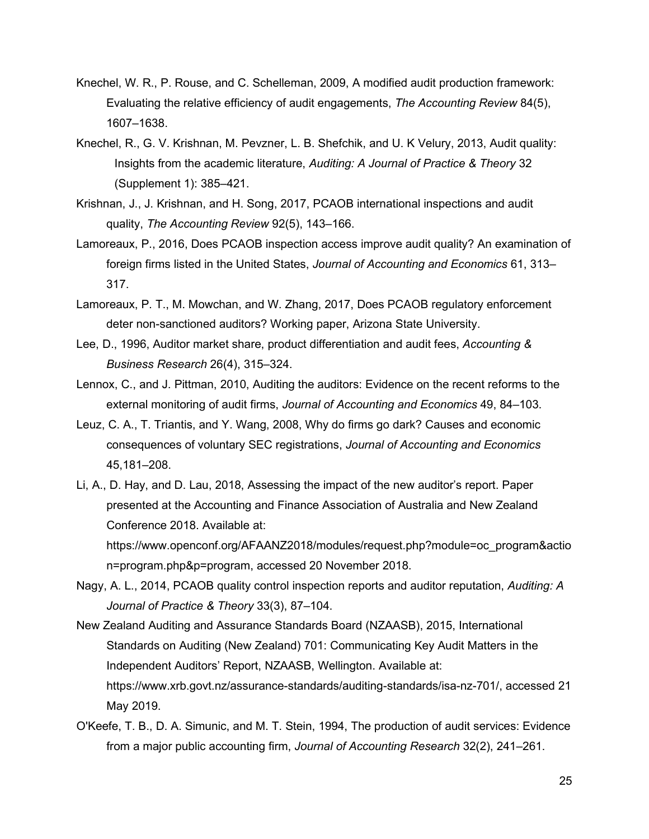- Knechel, W. R., P. Rouse, and C. Schelleman, 2009, A modified audit production framework: Evaluating the relative efficiency of audit engagements, *The Accounting Review* 84(5), 1607–1638.
- Knechel, R., G. V. Krishnan, M. Pevzner, L. B. Shefchik, and U. K Velury, 2013, Audit quality: Insights from the academic literature, *Auditing: A Journal of Practice & Theory* 32 (Supplement 1): 385–421.
- Krishnan, J., J. Krishnan, and H. Song, 2017, PCAOB international inspections and audit quality, *The Accounting Review* 92(5), 143–166.
- Lamoreaux, P., 2016, Does PCAOB inspection access improve audit quality? An examination of foreign firms listed in the United States, *Journal of Accounting and Economics* 61, 313– 317.
- Lamoreaux, P. T., M. Mowchan, and W. Zhang, 2017, Does PCAOB regulatory enforcement deter non-sanctioned auditors? Working paper, Arizona State University.
- Lee, D., 1996, Auditor market share, product differentiation and audit fees, *Accounting & Business Research* 26(4), 315–324.
- Lennox, C., and J. Pittman, 2010, Auditing the auditors: Evidence on the recent reforms to the external monitoring of audit firms, *Journal of Accounting and Economics* 49, 84–103.
- Leuz, C. A., T. Triantis, and Y. Wang, 2008, Why do firms go dark? Causes and economic consequences of voluntary SEC registrations, *Journal of Accounting and Economics* 45,181–208.
- Li, A., D. Hay, and D. Lau, 2018, Assessing the impact of the new auditor's report. Paper presented at the Accounting and Finance Association of Australia and New Zealand Conference 2018. Available at[:](https://www.openconf.org/AFAANZ2018/modules/request.php?module=oc_program&action=program.php&p=program) [https://www.openconf.org/AFAANZ2018/modules/request.php?module=oc\\_program&actio](https://www.openconf.org/AFAANZ2018/modules/request.php?module=oc_program&action=program.php&p=program,%20accessed%2020%20November%202018.)

[n=program.php&p=program, accessed 20 November 2018.](https://www.openconf.org/AFAANZ2018/modules/request.php?module=oc_program&action=program.php&p=program,%20accessed%2020%20November%202018.)

- Nagy, A. L., 2014, PCAOB quality control inspection reports and auditor reputation, *Auditing: A Journal of Practice & Theory* 33(3), 87–104.
- New Zealand Auditing and Assurance Standards Board (NZAASB), 2015, International Standards on Auditing (New Zealand) 701: Communicating Key Audit Matters in the Independent Auditors' Report, NZAASB, Wellington. Available at: [https://www.xrb.govt.nz/assurance-standards/auditing-standards/isa-nz-701/, accessed 21](https://www.xrb.govt.nz/assurance-standards/auditing-standards/isa-nz-701/,%20accessed%2021%20May%202019.)  [May 2019.](https://www.xrb.govt.nz/assurance-standards/auditing-standards/isa-nz-701/,%20accessed%2021%20May%202019.)
- O'Keefe, T. B., D. A. Simunic, and M. T. Stein, 1994, The production of audit services: Evidence from a major public accounting firm, *Journal of Accounting Research* 32(2), 241–261.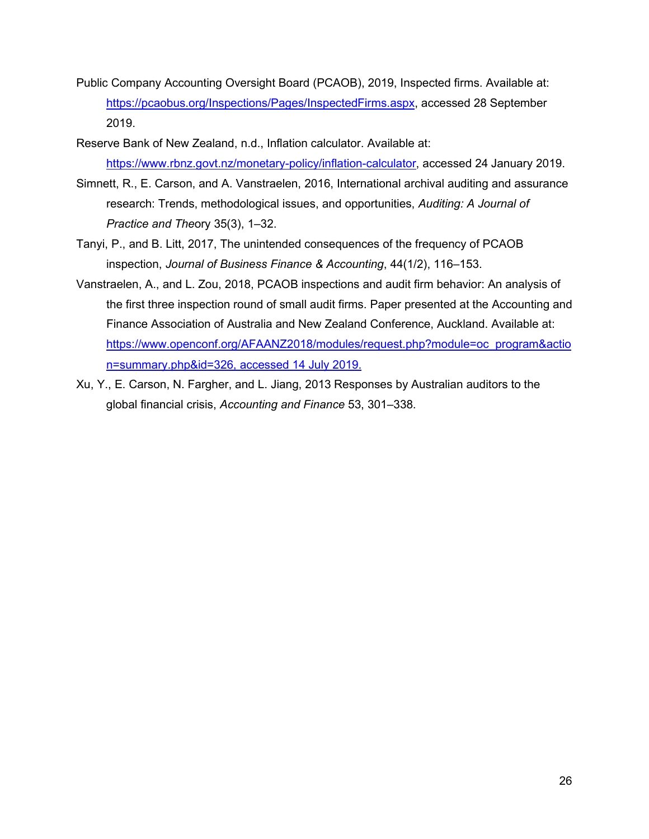- Public Company Accounting Oversight Board (PCAOB), 2019, Inspected firms. Available at: [https://pcaobus.org/Inspections/Pages/InspectedFirms.aspx,](https://pcaobus.org/Inspections/Pages/InspectedFirms.aspx) accessed 28 September 2019.
- Reserve Bank of New Zealand, n.d., Inflation calculator. Available at: [https://www.rbnz.govt.nz/monetary-policy/inflation-calculator,](https://www.rbnz.govt.nz/monetary-policy/inflation-calculator) accessed 24 January 2019.
- Simnett, R., E. Carson, and A. Vanstraelen, 2016, International archival auditing and assurance research: Trends, methodological issues, and opportunities, *Auditing: A Journal of Practice and The*ory 35(3), 1–32[.](https://doi/10.2308/ajpt-51377)
- Tanyi, P., and B. Litt, 2017, The unintended consequences of the frequency of PCAOB inspection, *Journal of Business Finance & Accounting*, 44(1/2), 116–153.
- Vanstraelen, A., and L. Zou, 2018, PCAOB inspections and audit firm behavior: An analysis of the first three inspection round of small audit firms. Paper presented at the Accounting and Finance Association of Australia and New Zealand Conference, Auckland. Available at: [https://www.openconf.org/AFAANZ2018/modules/request.php?module=oc\\_program&actio](https://www.openconf.org/AFAANZ2018/modules/request.php?module=oc_program&action=summary.php&id=326,%20accessed%2014%20July%202019.) [n=summary.php&id=326, accessed 14 July 2019.](https://www.openconf.org/AFAANZ2018/modules/request.php?module=oc_program&action=summary.php&id=326,%20accessed%2014%20July%202019.)
- Xu, Y., E. Carson, N. Fargher, and L. Jiang, 2013 Responses by Australian auditors to the global financial crisis, *Accounting and Finance* 53, 301–338.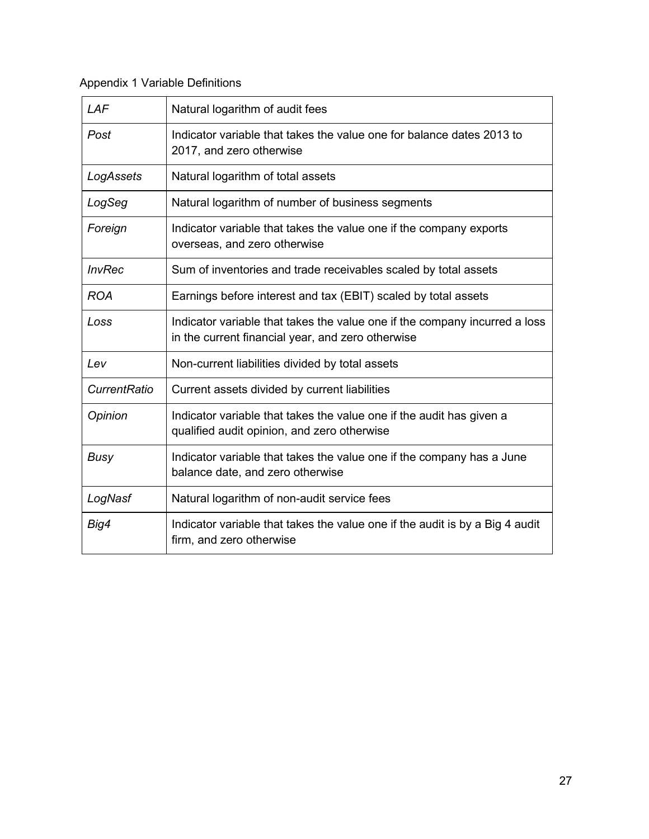# Appendix 1 Variable Definitions

| LAF                 | Natural logarithm of audit fees                                                                                                 |
|---------------------|---------------------------------------------------------------------------------------------------------------------------------|
| Post                | Indicator variable that takes the value one for balance dates 2013 to<br>2017, and zero otherwise                               |
| LogAssets           | Natural logarithm of total assets                                                                                               |
| LogSeg              | Natural logarithm of number of business segments                                                                                |
| Foreign             | Indicator variable that takes the value one if the company exports<br>overseas, and zero otherwise                              |
| <b>InvRec</b>       | Sum of inventories and trade receivables scaled by total assets                                                                 |
| <b>ROA</b>          | Earnings before interest and tax (EBIT) scaled by total assets                                                                  |
| Loss                | Indicator variable that takes the value one if the company incurred a loss<br>in the current financial year, and zero otherwise |
| Lev                 | Non-current liabilities divided by total assets                                                                                 |
| <b>CurrentRatio</b> | Current assets divided by current liabilities                                                                                   |
| Opinion             | Indicator variable that takes the value one if the audit has given a<br>qualified audit opinion, and zero otherwise             |
| <b>Busy</b>         | Indicator variable that takes the value one if the company has a June<br>balance date, and zero otherwise                       |
| LogNasf             | Natural logarithm of non-audit service fees                                                                                     |
| Big4                | Indicator variable that takes the value one if the audit is by a Big 4 audit<br>firm, and zero otherwise                        |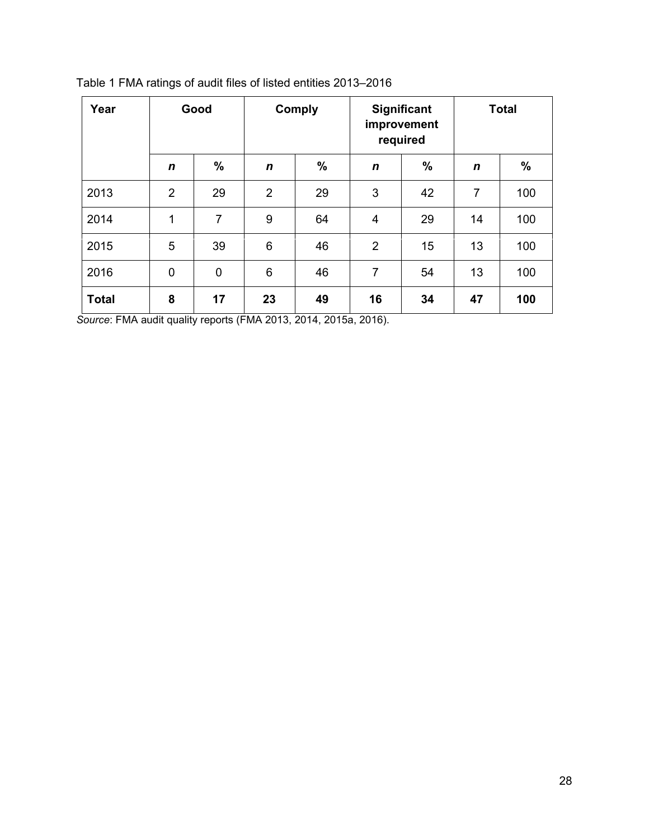| Year         | Good           |             | <b>Comply</b>  |               | <b>Significant</b><br>improvement<br>required |               | <b>Total</b>   |      |
|--------------|----------------|-------------|----------------|---------------|-----------------------------------------------|---------------|----------------|------|
|              | $\mathbf n$    | %           | $\mathbf n$    | $\frac{0}{0}$ | $\mathbf n$                                   | $\frac{9}{6}$ | n              | $\%$ |
| 2013         | $\overline{2}$ | 29          | $\overline{2}$ | 29            | 3                                             | 42            | $\overline{7}$ | 100  |
| 2014         | 1              | 7           | 9              | 64            | 4                                             | 29            | 14             | 100  |
| 2015         | 5              | 39          | 6              | 46            | $\overline{2}$                                | 15            | 13             | 100  |
| 2016         | $\mathbf 0$    | $\mathbf 0$ | 6              | 46            | $\overline{7}$                                | 54            | 13             | 100  |
| <b>Total</b> | 8              | 17          | 23             | 49            | 16                                            | 34            | 47             | 100  |

Table 1 FMA ratings of audit files of listed entities 2013–2016

*Source*: FMA audit quality reports (FMA 2013, 2014, 2015a, 2016).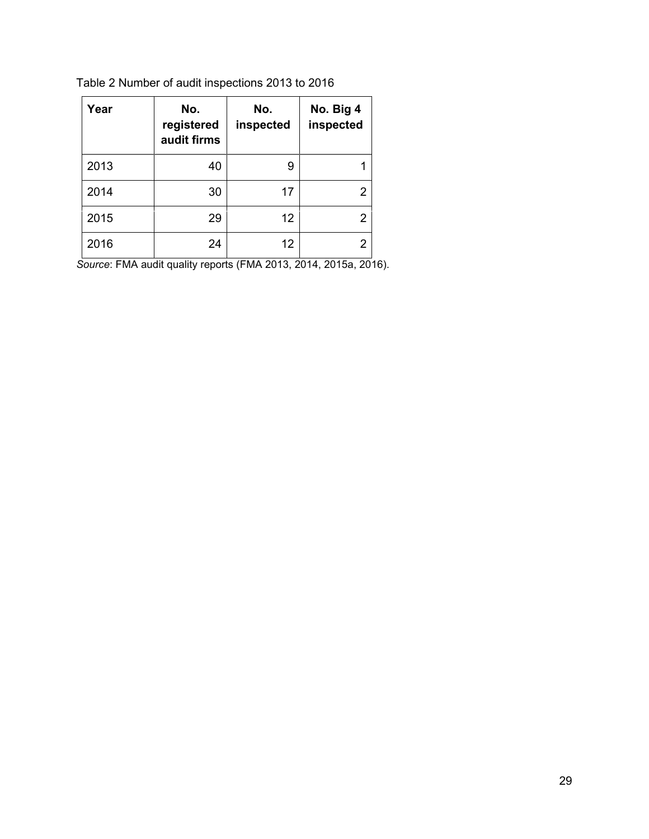| Year | No.<br>registered<br>audit firms | No.<br>inspected | No. Big 4<br>inspected |
|------|----------------------------------|------------------|------------------------|
| 2013 | 40                               | 9                |                        |
| 2014 | 30                               | 17               | 2                      |
| 2015 | 29                               | 12               | 2                      |
| 2016 | 24                               | 12               | 2                      |

Table 2 Number of audit inspections 2013 to 2016

*Source*: FMA audit quality reports (FMA 2013, 2014, 2015a, 2016).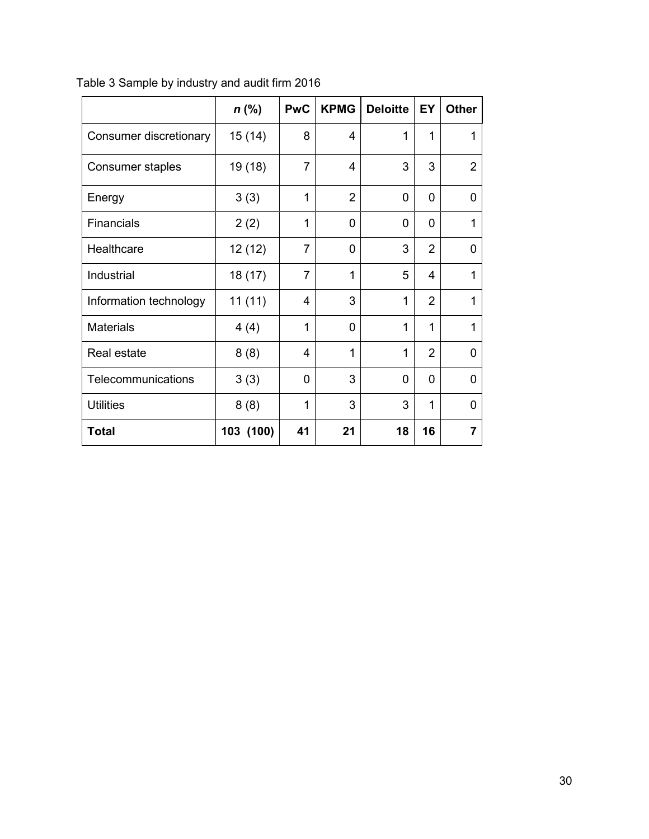|                         | $n$ (%)   | <b>PwC</b>     | <b>KPMG</b>    | <b>Deloitte</b> | EY             | <b>Other</b>   |
|-------------------------|-----------|----------------|----------------|-----------------|----------------|----------------|
| Consumer discretionary  | 15(14)    | 8              | 4              | 1               | 1              | 1              |
| <b>Consumer staples</b> | 19 (18)   | $\overline{7}$ | 4              | 3               | 3              | $\overline{2}$ |
| Energy                  | 3(3)      | 1              | $\overline{2}$ | 0               | 0              | 0              |
| <b>Financials</b>       | 2(2)      | 1              | 0              | 0               | 0              | 1              |
| Healthcare              | 12 (12)   | $\overline{7}$ | 0              | 3               | $\overline{2}$ | $\Omega$       |
| Industrial              | 18 (17)   | $\overline{7}$ | 1              | 5               | 4              | 1              |
| Information technology  | 11(11)    | 4              | 3              | 1               | $\overline{2}$ | 1              |
| <b>Materials</b>        | 4(4)      | 1              | 0              | 1               | 1              | 1              |
| Real estate             | 8(8)      | 4              | 1              | 1               | $\overline{2}$ | 0              |
| Telecommunications      | 3(3)      | 0              | 3              | 0               | 0              | 0              |
| <b>Utilities</b>        | 8(8)      | 1              | 3              | 3               | 1              | 0              |
| Total                   | 103 (100) | 41             | 21             | 18              | 16             | 7              |

Table 3 Sample by industry and audit firm 2016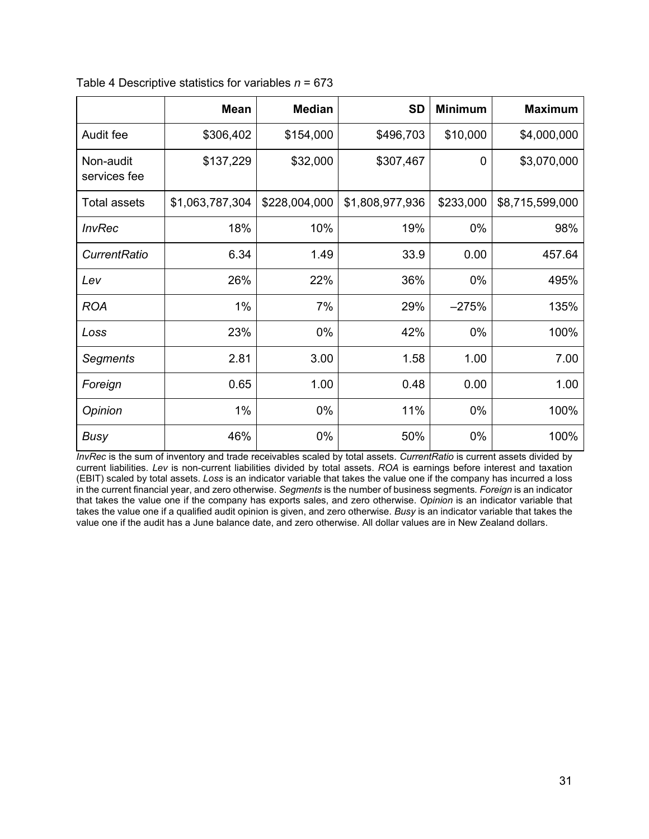|                           | <b>Mean</b>     | <b>Median</b> | <b>SD</b>       | <b>Minimum</b> | <b>Maximum</b>  |
|---------------------------|-----------------|---------------|-----------------|----------------|-----------------|
| Audit fee                 | \$306,402       | \$154,000     | \$496,703       | \$10,000       | \$4,000,000     |
| Non-audit<br>services fee | \$137,229       | \$32,000      | \$307,467       | $\mathbf{0}$   | \$3,070,000     |
| <b>Total assets</b>       | \$1,063,787,304 | \$228,004,000 | \$1,808,977,936 | \$233,000      | \$8,715,599,000 |
| <b>InvRec</b>             | 18%             | 10%           | 19%             | 0%             | 98%             |
| <b>CurrentRatio</b>       | 6.34            | 1.49          | 33.9            | 0.00           | 457.64          |
| Lev                       | 26%             | 22%           | 36%             | 0%             | 495%            |
| <b>ROA</b>                | 1%              | 7%            | 29%             | $-275%$        | 135%            |
| Loss                      | 23%             | 0%            | 42%             | 0%             | 100%            |
| Segments                  | 2.81            | 3.00          | 1.58            | 1.00           | 7.00            |
| Foreign                   | 0.65            | 1.00          | 0.48            | 0.00           | 1.00            |
| Opinion                   | 1%              | 0%            | 11%             | 0%             | 100%            |
| <b>Busy</b>               | 46%             | 0%            | 50%             | 0%             | 100%            |

Table 4 Descriptive statistics for variables *n* = 673

*InvRec* is the sum of inventory and trade receivables scaled by total assets. *CurrentRatio* is current assets divided by current liabilities. *Lev* is non-current liabilities divided by total assets. *ROA* is earnings before interest and taxation (EBIT) scaled by total assets. *Loss* is an indicator variable that takes the value one if the company has incurred a loss in the current financial year, and zero otherwise. *Segments* is the number of business segments*. Foreign* is an indicator that takes the value one if the company has exports sales, and zero otherwise. *Opinion* is an indicator variable that takes the value one if a qualified audit opinion is given, and zero otherwise. *Busy* is an indicator variable that takes the value one if the audit has a June balance date, and zero otherwise. All dollar values are in New Zealand dollars.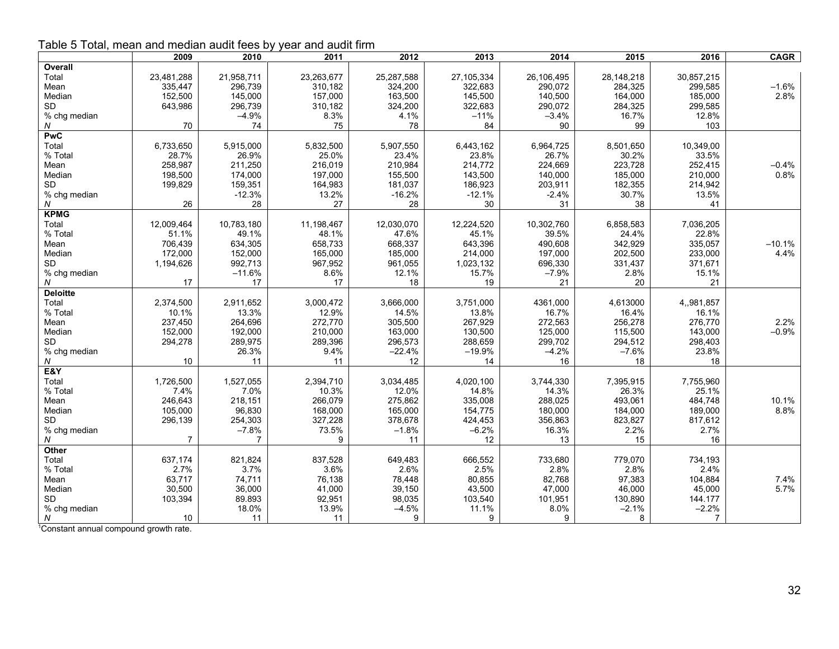| able J Toldi, illeali allu lilleulali auult lees by year allu auult illilli | 2009       | 2010           | 2011       | 2012       | 2013         | 2014       | 2015       | 2016           | <b>CAGR</b> |
|-----------------------------------------------------------------------------|------------|----------------|------------|------------|--------------|------------|------------|----------------|-------------|
|                                                                             |            |                |            |            |              |            |            |                |             |
| Overall                                                                     |            |                |            |            |              |            |            |                |             |
| Total                                                                       | 23,481,288 | 21,958,711     | 23,263,677 | 25,287,588 | 27, 105, 334 | 26,106,495 | 28,148,218 | 30,857,215     |             |
| Mean                                                                        | 335,447    | 296,739        | 310,182    | 324,200    | 322,683      | 290,072    | 284,325    | 299,585        | $-1.6%$     |
| Median                                                                      | 152,500    | 145,000        | 157,000    | 163,500    | 145,500      | 140,500    | 164,000    | 185,000        | 2.8%        |
| <b>SD</b>                                                                   | 643,986    | 296,739        | 310,182    | 324,200    | 322,683      | 290,072    | 284,325    | 299,585        |             |
| % chg median                                                                |            | $-4.9%$        | 8.3%       | 4.1%       | $-11%$       | $-3.4%$    | 16.7%      | 12.8%          |             |
| Ν                                                                           | 70         | 74             | 75         | 78         | 84           | 90         | 99         | 103            |             |
| <b>PwC</b>                                                                  |            |                |            |            |              |            |            |                |             |
| Total                                                                       | 6,733,650  | 5,915,000      | 5,832,500  | 5,907,550  | 6,443,162    | 6,964,725  | 8,501,650  | 10,349,00      |             |
| % Total                                                                     | 28.7%      | 26.9%          | 25.0%      | 23.4%      | 23.8%        | 26.7%      | 30.2%      | 33.5%          |             |
| Mean                                                                        | 258,987    | 211,250        | 216,019    | 210,984    | 214,772      | 224,669    | 223,728    | 252,415        | $-0.4%$     |
| Median                                                                      | 198,500    | 174,000        | 197,000    | 155,500    | 143,500      | 140,000    | 185,000    | 210,000        | 0.8%        |
| <b>SD</b>                                                                   | 199,829    | 159,351        | 164,983    | 181,037    | 186,923      | 203,911    | 182,355    | 214,942        |             |
| % chg median                                                                |            | $-12.3%$       | 13.2%      | $-16.2%$   | $-12.1%$     | $-2.4%$    | 30.7%      | 13.5%          |             |
| N                                                                           | 26         | 28             | 27         | 28         | 30           | 31         | 38         | 41             |             |
| <b>KPMG</b>                                                                 |            |                |            |            |              |            |            |                |             |
| Total                                                                       | 12,009,464 | 10,783,180     | 11,198,467 | 12,030,070 | 12,224,520   | 10,302,760 | 6,858,583  | 7,036,205      |             |
| % Total                                                                     | 51.1%      | 49.1%          | 48.1%      | 47.6%      | 45.1%        | 39.5%      | 24.4%      | 22.8%          |             |
| Mean                                                                        | 706,439    | 634,305        | 658,733    | 668,337    | 643,396      | 490,608    | 342,929    | 335,057        | $-10.1%$    |
| Median                                                                      | 172,000    | 152,000        | 165,000    | 185,000    | 214,000      | 197,000    | 202,500    | 233,000        | 4.4%        |
| <b>SD</b>                                                                   | 1,194,626  | 992,713        | 967,952    | 961,055    | 1,023,132    | 696,330    | 331,437    | 371,671        |             |
|                                                                             |            | $-11.6%$       | 8.6%       | 12.1%      | 15.7%        | $-7.9%$    | 2.8%       | 15.1%          |             |
| % chg median<br>N                                                           |            | 17             | 17         | 18         |              | 21         | 20         |                |             |
|                                                                             | 17         |                |            |            | 19           |            |            | 21             |             |
| <b>Deloitte</b>                                                             |            |                |            |            |              |            |            |                |             |
| Total                                                                       | 2,374,500  | 2,911,652      | 3,000,472  | 3,666,000  | 3,751,000    | 4361,000   | 4,613000   | 4,,981,857     |             |
| % Total                                                                     | 10.1%      | 13.3%          | 12.9%      | 14.5%      | 13.8%        | 16.7%      | 16.4%      | 16.1%          |             |
| Mean                                                                        | 237,450    | 264,696        | 272,770    | 305,500    | 267,929      | 272,563    | 256,278    | 276,770        | 2.2%        |
| Median                                                                      | 152,000    | 192,000        | 210,000    | 163,000    | 130,500      | 125,000    | 115,500    | 143,000        | $-0.9%$     |
| SD                                                                          | 294,278    | 289,975        | 289,396    | 296,573    | 288,659      | 299,702    | 294,512    | 298,403        |             |
| % chg median                                                                |            | 26.3%          | 9.4%       | $-22.4%$   | $-19.9%$     | $-4.2%$    | $-7.6%$    | 23.8%          |             |
| Ν                                                                           | 10         | 11             | 11         | 12         | 14           | 16         | 18         | 18             |             |
| E&Y                                                                         |            |                |            |            |              |            |            |                |             |
| Total                                                                       | 1,726,500  | 1,527,055      | 2,394,710  | 3,034,485  | 4,020,100    | 3,744,330  | 7,395,915  | 7,755,960      |             |
| % Total                                                                     | 7.4%       | 7.0%           | 10.3%      | 12.0%      | 14.8%        | 14.3%      | 26.3%      | 25.1%          |             |
| Mean                                                                        | 246,643    | 218,151        | 266,079    | 275,862    | 335,008      | 288,025    | 493,061    | 484,748        | 10.1%       |
| Median                                                                      | 105,000    | 96,830         | 168,000    | 165,000    | 154,775      | 180,000    | 184,000    | 189,000        | 8.8%        |
| <b>SD</b>                                                                   | 296,139    | 254,303        | 327,228    | 378,678    | 424,453      | 356,863    | 823,827    | 817,612        |             |
| % chg median                                                                |            | $-7.8%$        | 73.5%      | $-1.8%$    | $-6.2%$      | 16.3%      | 2.2%       | 2.7%           |             |
| Ν                                                                           | 7          | $\overline{7}$ | 9          | 11         | 12           | 13         | 15         | 16             |             |
| Other                                                                       |            |                |            |            |              |            |            |                |             |
| Total                                                                       | 637,174    | 821,824        | 837,528    | 649,483    | 666,552      | 733,680    | 779,070    | 734,193        |             |
| % Total                                                                     | 2.7%       | 3.7%           | 3.6%       | 2.6%       | 2.5%         | 2.8%       | 2.8%       | 2.4%           |             |
| Mean                                                                        | 63,717     | 74,711         | 76,138     | 78,448     | 80,855       | 82,768     | 97,383     | 104,884        | 7.4%        |
| Median                                                                      | 30,500     | 36,000         | 41,000     | 39,150     | 43,500       | 47,000     | 46,000     | 45,000         | 5.7%        |
| <b>SD</b>                                                                   |            |                |            |            |              |            |            |                |             |
|                                                                             | 103,394    | 89.893         | 92,951     | 98,035     | 103,540      | 101,951    | 130,890    | 144.177        |             |
| % chg median                                                                |            | 18.0%          | 13.9%      | $-4.5%$    | 11.1%        | 8.0%       | $-2.1%$    | $-2.2%$        |             |
| Ν                                                                           | 10         | 11             | 11         | 9          | 9            | 9          | 8          | $\overline{7}$ |             |
| <sup>1</sup> Constant annual compound growth rate.                          |            |                |            |            |              |            |            |                |             |

Table 5 Total, mean and median audit fees by year and audit firm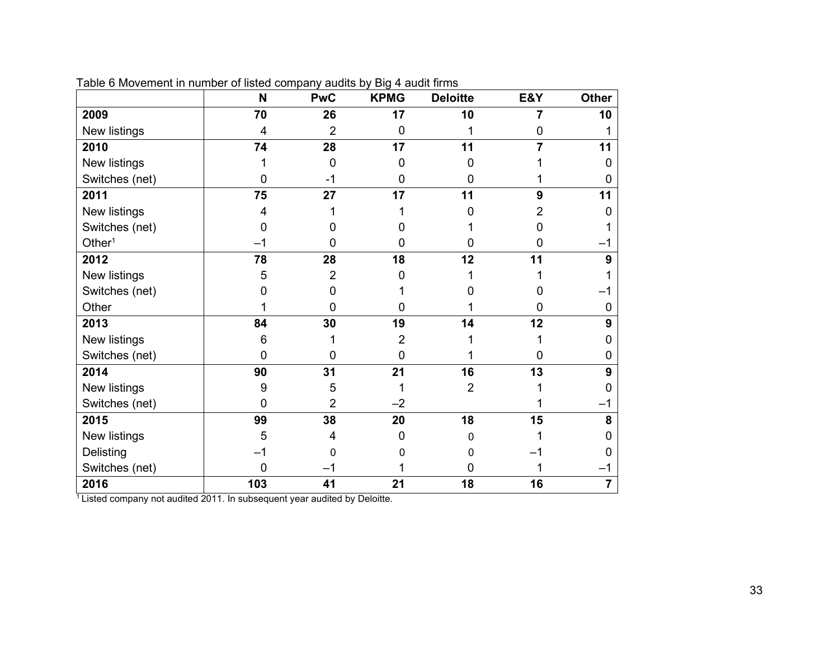|                    | N              | <b>PwC</b>     | <b>KPMG</b>    | <b>Deloitte</b> | E&Y      | <b>Other</b> |
|--------------------|----------------|----------------|----------------|-----------------|----------|--------------|
| 2009               | 70             | 26             | 17             | 10              | 7        | 10           |
| New listings       | $\overline{4}$ | $\overline{2}$ | $\overline{0}$ |                 |          |              |
| 2010               | 74             | 28             | 17             | 11              | 7        | 11           |
| New listings       |                | $\mathbf 0$    | ∩              | 0               |          | 0            |
| Switches (net)     | 0              | -1             | 0              | 0               |          | 0            |
| 2011               | 75             | 27             | 17             | 11              | 9        | 11           |
| New listings       | 4              |                |                | n               |          | O            |
| Switches (net)     |                |                |                |                 |          |              |
| Other <sup>1</sup> |                | O              |                | 0               |          |              |
| 2012               | 78             | 28             | 18             | 12              | 11       | 9            |
| New listings       | 5              | 2              | n              |                 |          |              |
| Switches (net)     |                | 0              |                |                 |          |              |
| Other              |                | $\Omega$       | O              |                 | O        | O            |
| 2013               | 84             | 30             | 19             | 14              | 12       | 9            |
| New listings       | 6              |                | 2              |                 |          |              |
| Switches (net)     | $\mathbf 0$    | 0              | $\Omega$       |                 | $\Omega$ |              |
| 2014               | 90             | 31             | 21             | 16              | 13       | 9            |
| New listings       | 9              | 5              |                | $\overline{2}$  |          |              |
| Switches (net)     | $\mathbf{0}$   | $\overline{2}$ | $-2$           |                 |          |              |
| 2015               | 99             | 38             | 20             | 18              | 15       | 8            |
| New listings       | 5              | 4              |                | 0               |          |              |
| Delisting          |                | 0              |                | 0               |          |              |
| Switches (net)     | 0              |                |                |                 |          |              |
| 2016               | 103            | 41             | 21             | 18              | 16       | 7            |

Table 6 Movement in number of listed company audits by Big 4 audit firms

<sup>1</sup> Listed company not audited 2011. In subsequent year audited by Deloitte.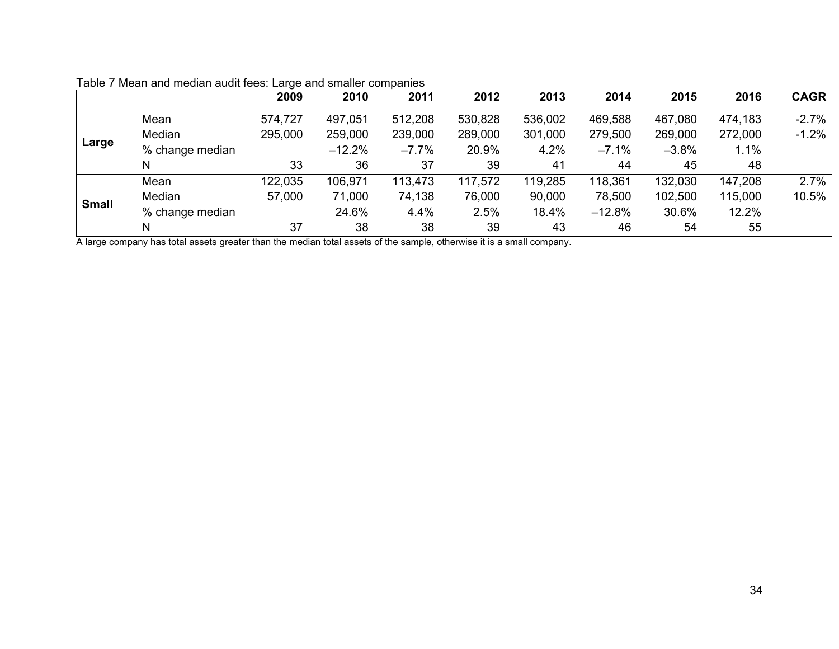|              |                 | 2009    | 2010     | 2011    | 2012    | 2013    | 2014     | 2015    | 2016    | <b>CAGR</b> |
|--------------|-----------------|---------|----------|---------|---------|---------|----------|---------|---------|-------------|
|              | Mean            | 574,727 | 497,051  | 512,208 | 530,828 | 536,002 | 469,588  | 467,080 | 474,183 | $-2.7%$     |
|              | Median          | 295,000 | 259,000  | 239,000 | 289,000 | 301,000 | 279,500  | 269,000 | 272,000 | $-1.2%$     |
| Large        | % change median |         | $-12.2%$ | $-7.7%$ | 20.9%   | 4.2%    | $-7.1%$  | $-3.8%$ | 1.1%    |             |
|              | N               | 33      | 36       | 37      | 39      | 41      | 44       | 45      | 48      |             |
|              | Mean            | 122,035 | 106,971  | 113,473 | 117,572 | 119,285 | 118,361  | 132,030 | 147,208 | 2.7%        |
| <b>Small</b> | Median          | 57,000  | 71,000   | 74,138  | 76,000  | 90,000  | 78,500   | 102,500 | 115,000 | 10.5%       |
|              | % change median |         | 24.6%    | 4.4%    | 2.5%    | 18.4%   | $-12.8%$ | 30.6%   | 12.2%   |             |
|              | N               | 37      | 38       | 38      | 39      | 43      | 46       | 54      | 55      |             |

## Table 7 Mean and median audit fees: Large and smaller companies

A large company has total assets greater than the median total assets of the sample, otherwise it is a small company.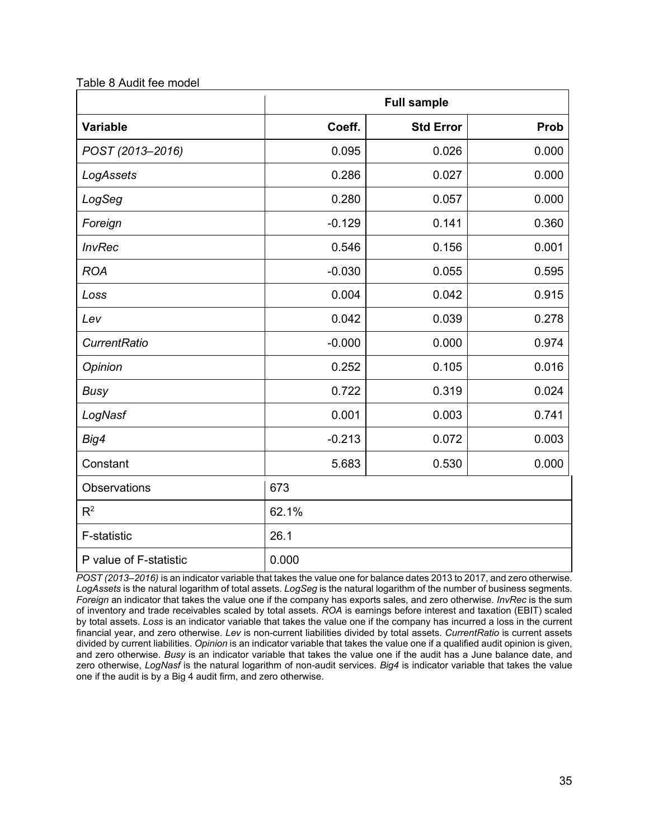| Table 8 Audit fee model |
|-------------------------|
|-------------------------|

|                        |          | <b>Full sample</b> |       |  |  |  |  |
|------------------------|----------|--------------------|-------|--|--|--|--|
| <b>Variable</b>        | Coeff.   | <b>Std Error</b>   | Prob  |  |  |  |  |
| POST (2013-2016)       | 0.095    | 0.026              | 0.000 |  |  |  |  |
| LogAssets              | 0.286    | 0.027              | 0.000 |  |  |  |  |
| LogSeg                 | 0.280    | 0.057              | 0.000 |  |  |  |  |
| Foreign                | $-0.129$ | 0.141              | 0.360 |  |  |  |  |
| <b>InvRec</b>          | 0.546    | 0.156              | 0.001 |  |  |  |  |
| <b>ROA</b>             | $-0.030$ | 0.055              | 0.595 |  |  |  |  |
| Loss                   | 0.004    | 0.042              | 0.915 |  |  |  |  |
| Lev                    | 0.042    | 0.039              | 0.278 |  |  |  |  |
| <b>CurrentRatio</b>    | $-0.000$ | 0.000              | 0.974 |  |  |  |  |
| Opinion                | 0.252    | 0.105              | 0.016 |  |  |  |  |
| <b>Busy</b>            | 0.722    | 0.319              | 0.024 |  |  |  |  |
| LogNasf                | 0.001    | 0.003              | 0.741 |  |  |  |  |
| Big4                   | $-0.213$ | 0.072              | 0.003 |  |  |  |  |
| Constant               | 5.683    | 0.530              | 0.000 |  |  |  |  |
| Observations           | 673      |                    |       |  |  |  |  |
| R <sup>2</sup>         | 62.1%    |                    |       |  |  |  |  |
| F-statistic            | 26.1     |                    |       |  |  |  |  |
| P value of F-statistic | 0.000    |                    |       |  |  |  |  |

*POST (2013–2016)* is an indicator variable that takes the value one for balance dates 2013 to 2017, and zero otherwise. *LogAssets* is the natural logarithm of total assets. *LogSeg* is the natural logarithm of the number of business segments. *Foreign* an indicator that takes the value one if the company has exports sales, and zero otherwise. *InvRec* is the sum of inventory and trade receivables scaled by total assets. *ROA* is earnings before interest and taxation (EBIT) scaled by total assets. *Loss* is an indicator variable that takes the value one if the company has incurred a loss in the current financial year, and zero otherwise. *Lev* is non-current liabilities divided by total assets. *CurrentRatio* is current assets divided by current liabilities. *Opinion* is an indicator variable that takes the value one if a qualified audit opinion is given, and zero otherwise. *Busy* is an indicator variable that takes the value one if the audit has a June balance date, and zero otherwise, *LogNasf* is the natural logarithm of non-audit services. *Big4* is indicator variable that takes the value one if the audit is by a Big 4 audit firm, and zero otherwise.